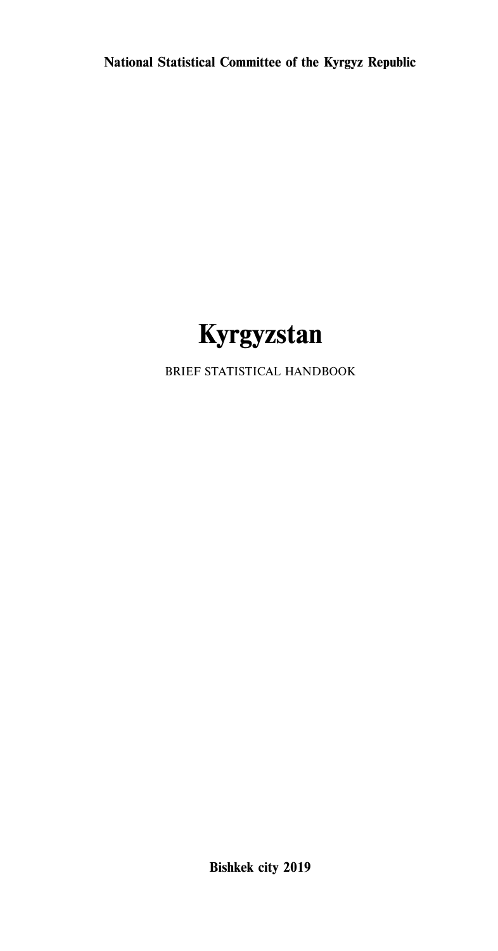**National Statistical Committee of the Kyrgyz Republic**



BRIEF STATISTICAL HANDBOOK

**Bishkek city 2019**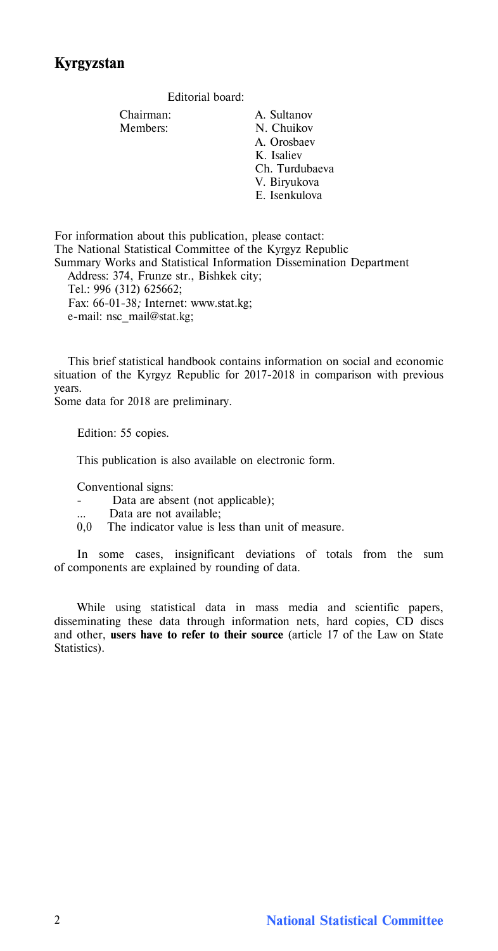Editorial board:

Chairman: A. Sultanov Members: N. Chuikov A. Orosbaev K. Isaliev Ch. Turdubaeva V. Biryukova E. Isenkulova

For information about this publication, please contact: The National Statistical Committee of the Kyrgyz Republic Summary Works and Statistical Information Dissemination Department Address: 374, Frunze str., Bishkek city;

Tel.: 996 (312) 625662; Fax: 66-01-38*;* Internet: www.stat.kg; e-mail: nsc\_mail@stat.kg;

This brief statistical handbook contains information on social and economic situation of the Kyrgyz Republic for 2017-2018 in comparison with previous years.

Some data for 2018 are preliminary.

Edition: 55 copies.

This publication is also available on electronic form.

Conventional signs:

- Data are absent (not applicable);
- Data are not available;
- 0,0 The indicator value is less than unit of measure.

In some cases, insignificant deviations of totals from the sum of components are explained by rounding of data.

While using statistical data in mass media and scientific papers, disseminating these data through information nets, hard copies, CD discs and other, **users have to refer to their source** (article 17 of the Law on State Statistics).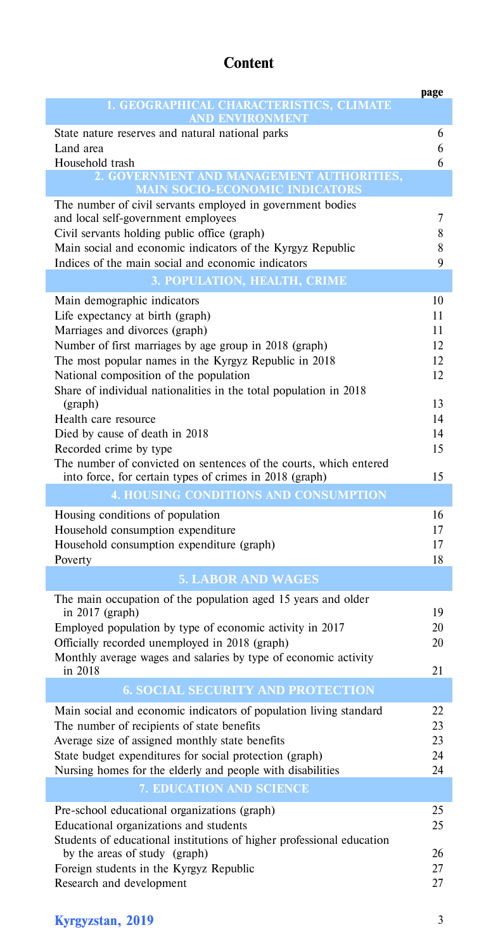# **Content**

|                                                                       | page   |
|-----------------------------------------------------------------------|--------|
| 1. GEOGRAPHICAL CHARACTERISTICS, CLIMATE                              |        |
| <b>AND ENVIRONMENT</b>                                                |        |
| State nature reserves and natural national parks                      | 6<br>6 |
| Land area<br>Household trash                                          | 6      |
| 2. GOVERNMENT AND MANAGEMENT AUTHORITIES,                             |        |
| <b>MAIN SOCIO-ECONOMIC INDICATORS</b>                                 |        |
| The number of civil servants employed in government bodies            |        |
| and local self-government employees                                   | 7      |
| Civil servants holding public office (graph)                          | 8      |
| Main social and economic indicators of the Kyrgyz Republic            | 8      |
| Indices of the main social and economic indicators                    | 9      |
| 3. POPULATION, HEALTH, CRIME                                          |        |
| Main demographic indicators                                           | 10     |
| Life expectancy at birth (graph)                                      | 11     |
| Marriages and divorces (graph)                                        | 11     |
| Number of first marriages by age group in 2018 (graph)                | 12     |
| The most popular names in the Kyrgyz Republic in 2018                 | 12     |
| National composition of the population                                | 12     |
| Share of individual nationalities in the total population in 2018     |        |
| (graph)                                                               | 13     |
| Health care resource                                                  | 14     |
| Died by cause of death in 2018                                        | 14     |
| Recorded crime by type                                                | 15     |
| The number of convicted on sentences of the courts, which entered     |        |
| into force, for certain types of crimes in 2018 (graph)               | 15     |
| <b>4. HOUSING CONDITIONS AND CONSUMPTION</b>                          |        |
| Housing conditions of population                                      | 16     |
| Household consumption expenditure                                     | 17     |
| Household consumption expenditure (graph)                             | 17     |
| Poverty                                                               | 18     |
| <b>5. LABOR AND WAGES</b>                                             |        |
| The main occupation of the population aged 15 years and older         |        |
| in $2017$ (graph)                                                     | 19     |
| Employed population by type of economic activity in 2017              | 20     |
| Officially recorded unemployed in 2018 (graph)                        | 20     |
| Monthly average wages and salaries by type of economic activity       | 21     |
| in 2018                                                               |        |
| <b>6. SOCIAL SECURITY AND PROTECTION</b>                              |        |
| Main social and economic indicators of population living standard     | 22     |
| The number of recipients of state benefits                            | 23     |
| Average size of assigned monthly state benefits                       | 23     |
| State budget expenditures for social protection (graph)               | 24     |
| Nursing homes for the elderly and people with disabilities            | 24     |
| 7. EDUCATION AND SCIENCE                                              |        |
| Pre-school educational organizations (graph)                          | 25     |
| Educational organizations and students                                | 25     |
| Students of educational institutions of higher professional education |        |
| by the areas of study (graph)                                         | 26     |
| Foreign students in the Kyrgyz Republic                               | 27     |
| Research and development                                              | 27     |

# **Kyrgyzstan, 2019** 3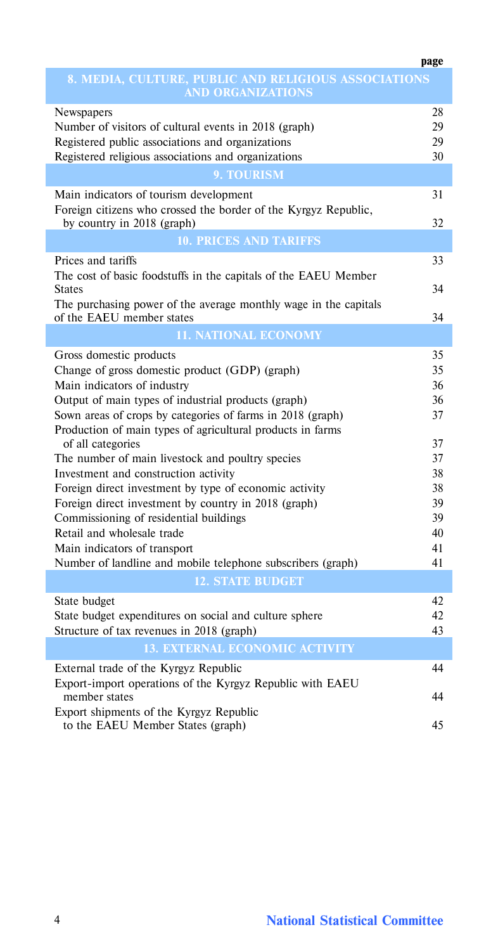|                                                                                               | page |
|-----------------------------------------------------------------------------------------------|------|
| 8. MEDIA, CULTURE, PUBLIC AND RELIGIOUS ASSOCIATIONS<br><b>AND ORGANIZATIONS</b>              |      |
| Newspapers                                                                                    | 28   |
| Number of visitors of cultural events in 2018 (graph)                                         | 29   |
| Registered public associations and organizations                                              | 29   |
| Registered religious associations and organizations                                           | 30   |
| 9. TOURISM                                                                                    |      |
| Main indicators of tourism development                                                        | 31   |
| Foreign citizens who crossed the border of the Kyrgyz Republic,<br>by country in 2018 (graph) | 32   |
| <b>10. PRICES AND TARIFFS</b>                                                                 |      |
| Prices and tariffs                                                                            | 33   |
| The cost of basic foodstuffs in the capitals of the EAEU Member                               |      |
| <b>States</b>                                                                                 | 34   |
| The purchasing power of the average monthly wage in the capitals                              |      |
| of the EAEU member states                                                                     | 34   |
| <b>11. NATIONAL ECONOMY</b>                                                                   |      |
| Gross domestic products                                                                       | 35   |
| Change of gross domestic product (GDP) (graph)                                                | 35   |
| Main indicators of industry                                                                   | 36   |
| Output of main types of industrial products (graph)                                           | 36   |
| Sown areas of crops by categories of farms in 2018 (graph)                                    | 37   |
| Production of main types of agricultural products in farms<br>of all categories               | 37   |
|                                                                                               | 37   |
| The number of main livestock and poultry species                                              |      |
| Investment and construction activity                                                          | 38   |
| Foreign direct investment by type of economic activity                                        | 38   |
| Foreign direct investment by country in 2018 (graph)                                          | 39   |
| Commissioning of residential buildings                                                        | 39   |
| Retail and wholesale trade                                                                    | 40   |
| Main indicators of transport                                                                  | 41   |
| Number of landline and mobile telephone subscribers (graph)                                   | 41   |
| <b>12. STATE BUDGET</b>                                                                       |      |
| State budget                                                                                  | 42   |
| State budget expenditures on social and culture sphere                                        | 42   |
| Structure of tax revenues in 2018 (graph)                                                     | 43   |
| <b>13. EXTERNAL ECONOMIC ACTIVITY</b>                                                         |      |
| External trade of the Kyrgyz Republic                                                         | 44   |
| Export-import operations of the Kyrgyz Republic with EAEU                                     |      |
| member states                                                                                 | 44   |
| Export shipments of the Kyrgyz Republic                                                       |      |
| to the EAEU Member States (graph)                                                             | 45   |

**page**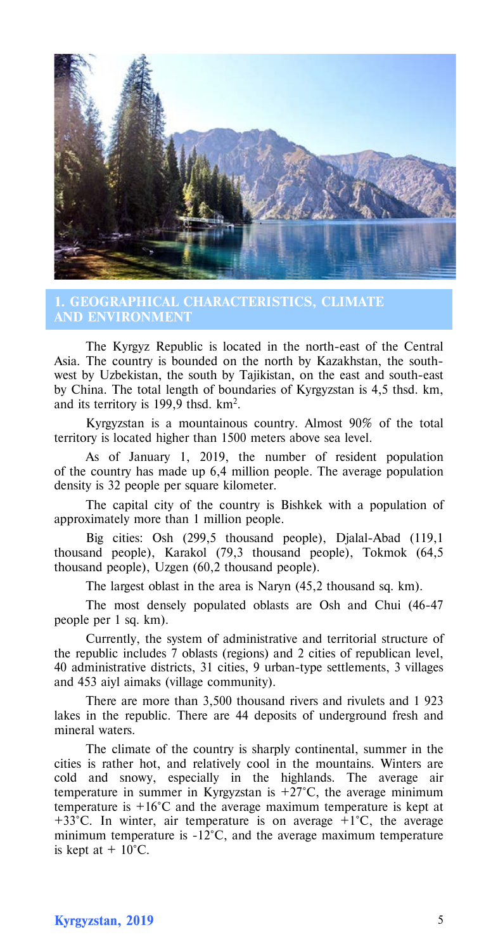

**1. GEOGRAPHICAL CHARACTERISTICS, CLIMATE AND ENVIRONMENT**

The Kyrgyz Republic is located in the north-east of the Central Asia. The country is bounded on the north by Kazakhstan, the southwest by Uzbekistan, the south by Tajikistan, on the east and south-east by China. The total length of boundaries of Kyrgyzstan is 4,5 thsd. km, and its territory is 199,9 thsd. km2.

Kyrgyzstan is a mountainous country. Almost 90% of the total territory is located higher than 1500 meters above sea level.

As of January 1, 2019, the number of resident population of the country has made up 6,4 million people. The average population density is 32 people per square kilometer.

The capital city of the country is Bishkek with a population of approximately more than 1 million people.

Big cities: Osh (299,5 thousand people), Djalal-Abad (119,1) thousand people), Karakol (79,3 thousand people), Tokmok (64,5 thousand people), Uzgen (60,2 thousand people).

The largest oblast in the area is Naryn (45,2 thousand sq. km).

The most densely populated oblasts are Osh and Chui (46-47 people per 1 sq. km).

Currently, the system of administrative and territorial structure of the republic includes 7 oblasts (regions) and 2 cities of republican level, 40 administrative districts, 31 cities, 9 urban-type settlements, 3 villages and 453 aiyl aimaks (village community).

There are more than 3,500 thousand rivers and rivulets and 1 923 lakes in the republic. There are 44 deposits of underground fresh and mineral waters.

The climate of the country is sharply continental, summer in the cities is rather hot, and relatively cool in the mountains. Winters are cold and snowy, especially in the highlands. The average air temperature in summer in Kyrgyzstan is  $+27^{\circ}$ C, the average minimum temperature is +16°C and the average maximum temperature is kept at  $+33^{\circ}$ C. In winter, air temperature is on average  $+1^{\circ}$ C, the average minimum temperature is -12°C, and the average maximum temperature is kept at  $+10^{\circ}$ C.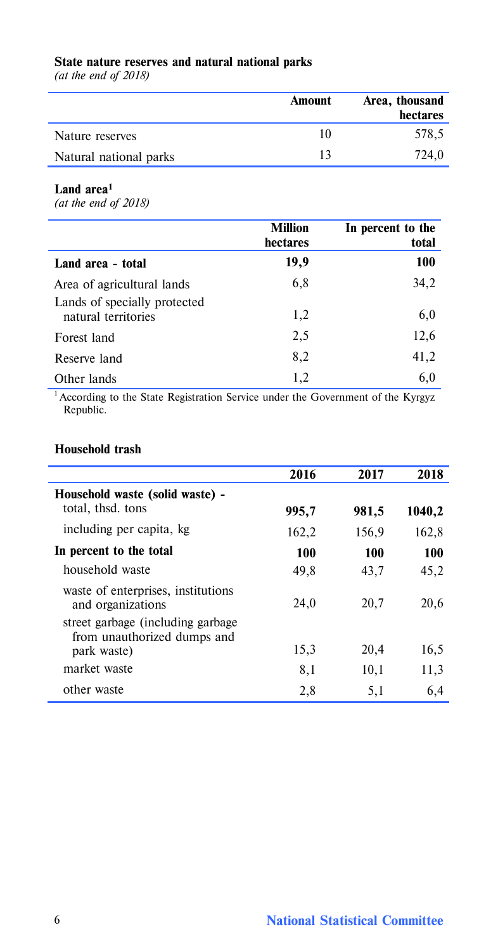# **State nature reserves and natural national parks**

*(at the end of 2018)*

|                        | Amount | Area, thousand<br>hectares |
|------------------------|--------|----------------------------|
| Nature reserves        | 10     | 578.5                      |
| Natural national parks | 13     | 724.0                      |

### **Land area1**

*(at the end of 2018)* 

|                                                            | <b>Million</b><br>hectares | In percent to the<br>total |
|------------------------------------------------------------|----------------------------|----------------------------|
| Land area - total                                          | 19,9                       | 100                        |
| Area of agricultural lands<br>Lands of specially protected | 6,8                        | 34,2                       |
| natural territories                                        | 1,2                        | 6,0                        |
| Forest land                                                | 2,5                        | 12,6                       |
| Reserve land                                               | 8,2                        | 41,2                       |
| Other lands                                                | 1,2                        | 6,0                        |

<sup>1</sup> According to the State Registration Service under the Government of the Kyrgyz Republic.

### **Household trash**

|                                                                   | 2016  | 2017  | 2018   |
|-------------------------------------------------------------------|-------|-------|--------|
| Household waste (solid waste) -                                   |       |       |        |
| total, thsd. tons                                                 | 995,7 | 981,5 | 1040,2 |
| including per capita, kg                                          | 162,2 | 156,9 | 162,8  |
| In percent to the total                                           | 100   | 100   | 100    |
| household waste                                                   | 49,8  | 43,7  | 45,2   |
| waste of enterprises, institutions<br>and organizations           | 24.0  | 20,7  | 20,6   |
| street garbage (including garbage)<br>from unauthorized dumps and | 15,3  | 20,4  | 16,5   |
| park waste)                                                       |       |       |        |
| market waste                                                      | 8,1   | 10,1  | 11,3   |
| other waste                                                       | 2,8   | 5,1   | 6,4    |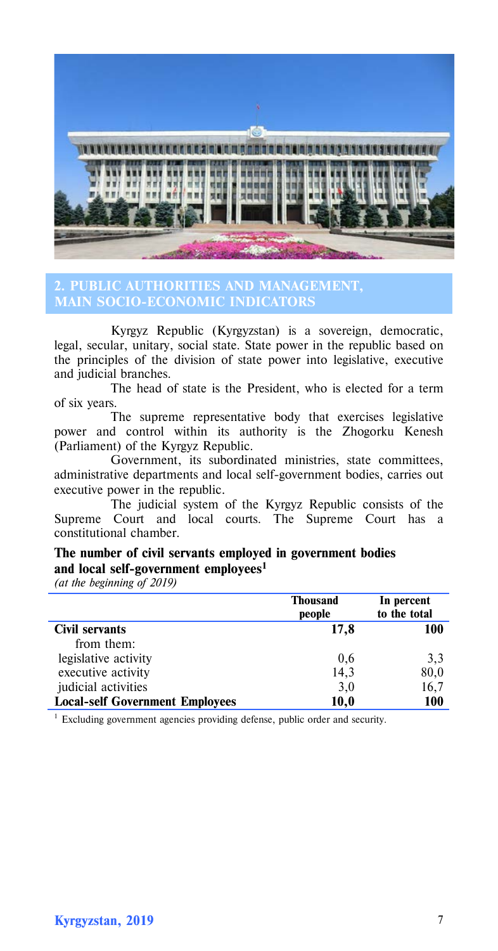

## **2. PUBLIC AUTHORITIES AND MANAGEMENT, MAIN SOCIO-ECONOMIC INDICATORS**

Kyrgyz Republic (Kyrgyzstan) is a sovereign, democratic, legal, secular, unitary, social state. State power in the republic based on the principles of the division of state power into legislative, executive and judicial branches.

The head of state is the President, who is elected for a term of six years.

The supreme representative body that exercises legislative power and control within its authority is the Zhogorku Kenesh (Parliament) of the Kyrgyz Republic.

Government, its subordinated ministries, state committees, administrative departments and local self-government bodies, carries out executive power in the republic.

The judicial system of the Kyrgyz Republic consists of the Supreme Court and local courts. The Supreme Court has a constitutional chamber.

# **The number of civil servants employed in government bodies and local self-government employees1**

*(at the beginning of 2019)*

|                                        | <b>Thousand</b><br>people | In percent<br>to the total |
|----------------------------------------|---------------------------|----------------------------|
| Civil servants                         | 17.8                      | 100                        |
| from them:                             |                           |                            |
| legislative activity                   | 0,6                       | 3,3                        |
| executive activity                     | 14,3                      | 80,0                       |
| judicial activities                    | 3,0                       | 16.7                       |
| <b>Local-self Government Employees</b> | 10,0                      | 100                        |

<sup>1</sup> Excluding government agencies providing defense, public order and security.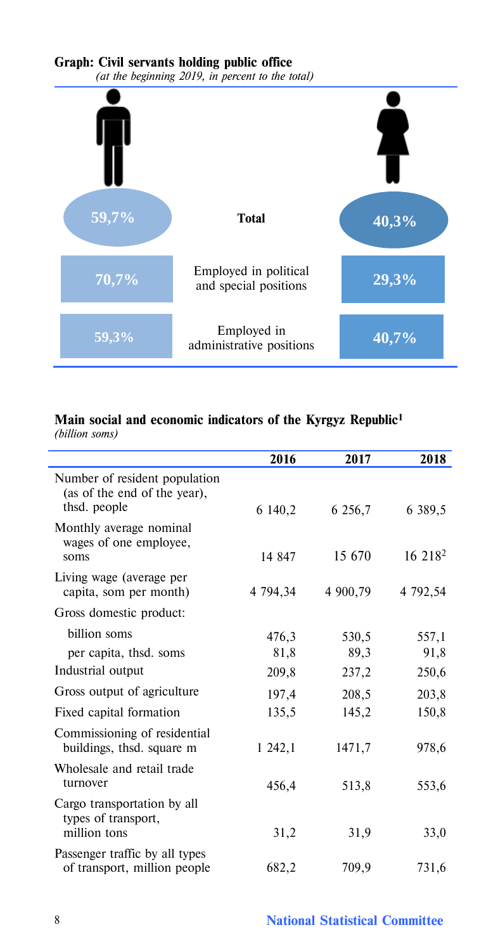# **Graph: Civil servants holding public office**



# **Main social and economic indicators of the Kyrgyz Republic1**

*(billion soms)*

|                                                                               | 2016     | 2017     | 2018                |
|-------------------------------------------------------------------------------|----------|----------|---------------------|
| Number of resident population<br>(as of the end of the year),<br>thsd. people | 6 140,2  | 6 256,7  | 6 389,5             |
| Monthly average nominal<br>wages of one employee,<br>soms                     | 14 847   | 15.670   | 16 218 <sup>2</sup> |
| Living wage (average per<br>capita, som per month)                            | 4 794,34 | 4 900,79 | 4 792,54            |
| Gross domestic product:                                                       |          |          |                     |
| billion soms                                                                  | 476,3    | 530,5    | 557,1               |
| per capita, thsd. soms                                                        | 81,8     | 89,3     | 91,8                |
| Industrial output                                                             | 209,8    | 237,2    | 250,6               |
| Gross output of agriculture                                                   | 197,4    | 208,5    | 203,8               |
| Fixed capital formation                                                       | 135,5    | 145,2    | 150,8               |
| Commissioning of residential<br>buildings, thsd. square m                     | 1 242,1  | 1471,7   | 978,6               |
| Wholesale and retail trade<br>turnover                                        | 456,4    | 513,8    | 553,6               |
| Cargo transportation by all<br>types of transport,<br>million tons            | 31,2     | 31,9     | 33,0                |
| Passenger traffic by all types<br>of transport, million people                | 682,2    | 709,9    | 731,6               |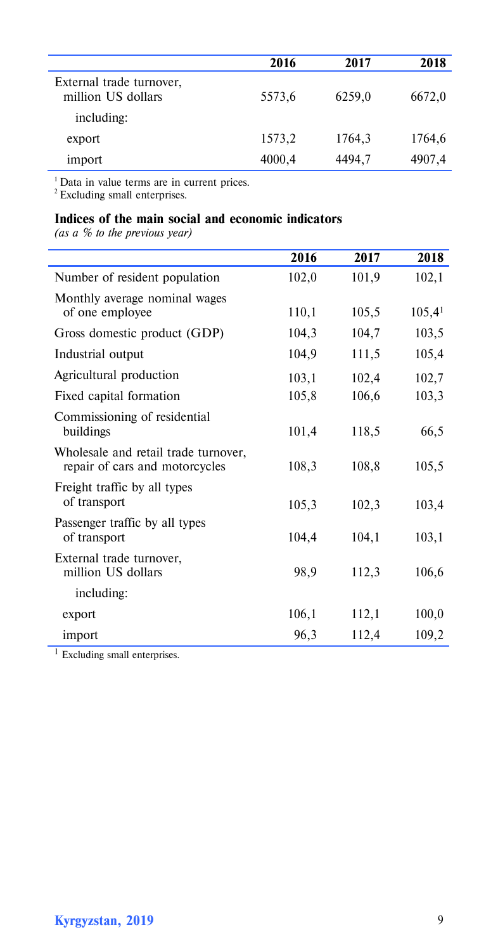|                                                | 2016   | 2017   | 2018   |
|------------------------------------------------|--------|--------|--------|
| External trade turnover,<br>million US dollars | 5573,6 | 6259,0 | 6672,0 |
| including:                                     |        |        |        |
| export                                         | 1573,2 | 1764,3 | 1764,6 |
| import                                         | 4000,4 | 4494,7 | 4907,4 |

<sup>1</sup> Data in value terms are in current prices.<br><sup>2</sup> Excluding small enterprises.

# **Indices of the main social and economic indicators**

*(as a % to the previous year)*

l, l.

|                                                                        | 2016  | 2017  | 2018               |
|------------------------------------------------------------------------|-------|-------|--------------------|
| Number of resident population                                          | 102,0 | 101,9 | 102,1              |
| Monthly average nominal wages<br>of one employee                       | 110,1 | 105,5 | 105,4 <sup>1</sup> |
| Gross domestic product (GDP)                                           | 104,3 | 104,7 | 103,5              |
| Industrial output                                                      | 104,9 | 111,5 | 105,4              |
| Agricultural production                                                | 103,1 | 102,4 | 102,7              |
| Fixed capital formation                                                | 105,8 | 106,6 | 103,3              |
| Commissioning of residential<br>buildings                              | 101,4 | 118,5 | 66,5               |
| Wholesale and retail trade turnover,<br>repair of cars and motorcycles | 108,3 | 108,8 | 105,5              |
| Freight traffic by all types<br>of transport                           | 105,3 | 102,3 | 103,4              |
| Passenger traffic by all types<br>of transport                         | 104,4 | 104,1 | 103,1              |
| External trade turnover,<br>million US dollars                         | 98,9  | 112,3 | 106,6              |
| including:                                                             |       |       |                    |
| export                                                                 | 106,1 | 112,1 | 100,0              |
| import                                                                 | 96,3  | 112,4 | 109,2              |

<sup>1</sup> Excluding small enterprises.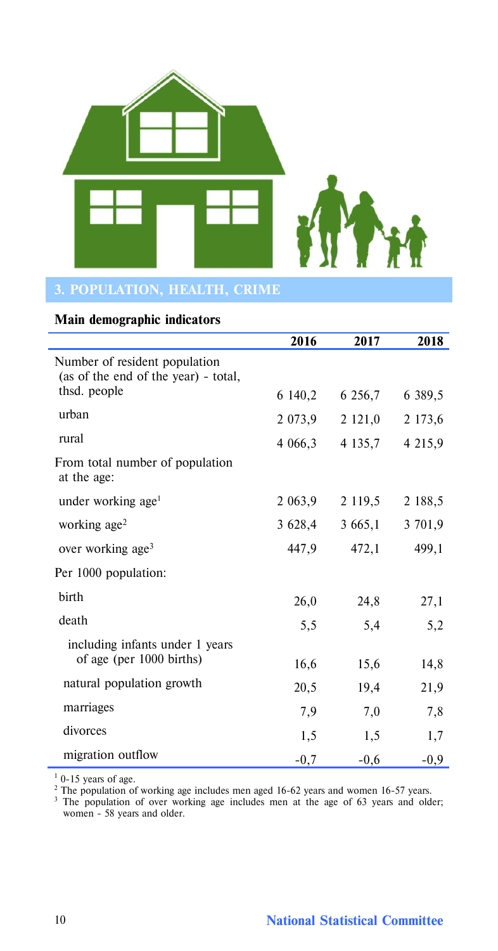

## **Main demographic indicators**

l,

|                                                                       | 2016        | 2017        | 2018        |
|-----------------------------------------------------------------------|-------------|-------------|-------------|
| Number of resident population<br>(as of the end of the year) - total, |             |             |             |
| thsd. people                                                          | 6 140,2     | 6 256,7     | 6 3 8 9 .5  |
| urban                                                                 | 2 0 7 3 , 9 | 2 121,0     | 2 173,6     |
| rural                                                                 | 4 066,3     | 4 1 3 5 , 7 | 4 2 1 5 , 9 |
| From total number of population<br>at the age:                        |             |             |             |
| under working age <sup>1</sup>                                        | 2 063,9     | 2 1 1 9 , 5 | 2 188,5     |
| working $age2$                                                        | 3 628,4     | 3 665,1     | 3 701,9     |
| over working age <sup>3</sup>                                         | 447,9       | 472,1       | 499,1       |
| Per 1000 population:                                                  |             |             |             |
| birth                                                                 | 26,0        | 24,8        | 27,1        |
| death                                                                 | 5,5         | 5,4         | 5,2         |
| including infants under 1 years                                       |             |             |             |
| of age (per 1000 births)                                              | 16,6        | 15,6        | 14,8        |
| natural population growth                                             | 20,5        | 19,4        | 21,9        |
| marriages                                                             | 7,9         | 7,0         | 7,8         |
| divorces                                                              | 1,5         | 1,5         | 1,7         |
| migration outflow                                                     | $-0,7$      | $-0,6$      | $-0.9$      |

 $1$  0-15 years of age.

<sup>2</sup> The population of working age includes men aged 16-62 years and women 16-57 years.<br><sup>3</sup> The population of over working age includes men at the age of 63 years and older; women - 58 years and older.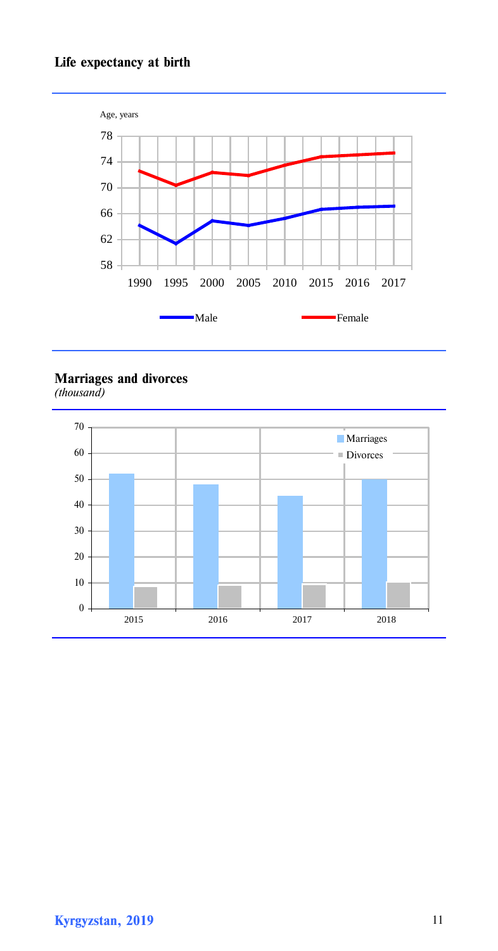# **Life expectancy at birth**



**Marriages and divorces** *(thousand)*

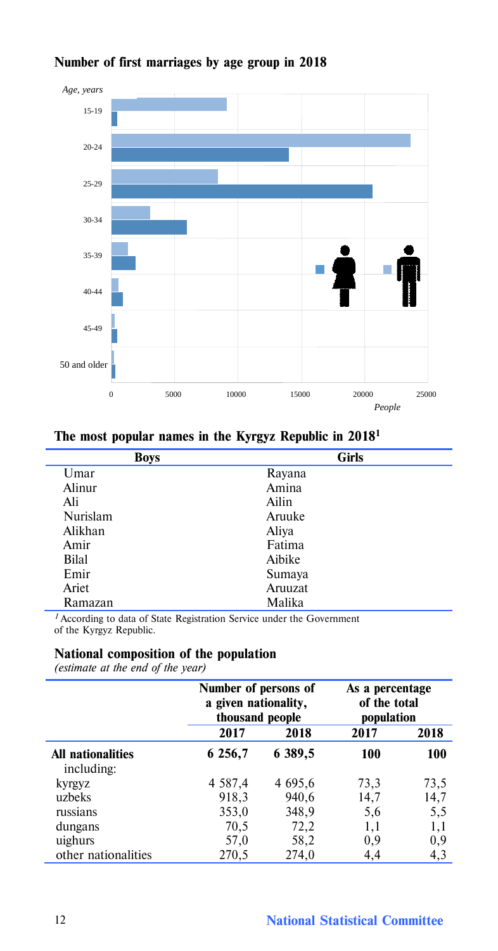

# **Number of first marriages by age group in 2018**

| Umar<br>Rayana         |  |
|------------------------|--|
|                        |  |
| Alinur<br>Amina        |  |
| Ali<br>Ailin           |  |
| Nurislam<br>Aruuke     |  |
| Alikhan<br>Aliya       |  |
| Fatima<br>Amir         |  |
| <b>Bilal</b><br>Aibike |  |
| Emir<br>Sumaya         |  |
| Ariet<br>Aruuzat       |  |
| Malika<br>Ramazan      |  |

*<sup>1</sup>*According to data of State Registration Service under the Government of the Kyrgyz Republic.

### **National composition of the population**

*(estimate at the end of the year)*

|                                 | Number of persons of<br>a given nationality,<br>thousand people |         | As a percentage<br>of the total<br>population |          |  |  |
|---------------------------------|-----------------------------------------------------------------|---------|-----------------------------------------------|----------|--|--|
|                                 | 2017                                                            | 2018    | 2017                                          | 2018     |  |  |
| All nationalities<br>including: | 6 256,7                                                         | 6 389,5 | 100                                           | 100      |  |  |
| kyrgyz                          | 4 5 8 7 4                                                       | 4 695,6 | 73,3                                          | 73,5     |  |  |
| uzbeks                          | 918,3                                                           | 940,6   | 14,7                                          | 14,7     |  |  |
| russians                        | 353,0                                                           | 348,9   | 5,6                                           | 5,5      |  |  |
| dungans                         | 70,5                                                            | 72,2    | 1,1                                           | 1,1      |  |  |
| uighurs                         | 57,0                                                            | 58,2    | 0,9                                           | $_{0,9}$ |  |  |
| other nationalities             | 270,5                                                           | 274,0   | 4,4                                           | 4,3      |  |  |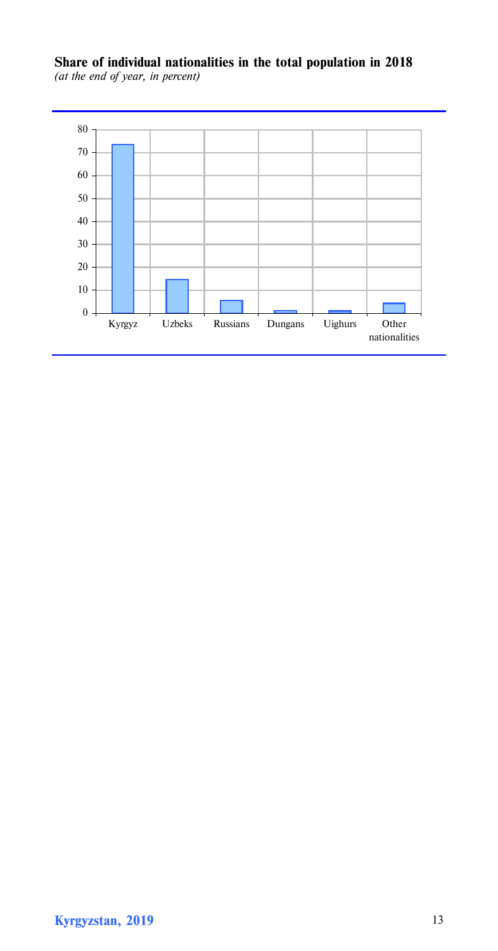**Share of individual nationalities in the total population in 2018** *(at the end of year, in percent)*

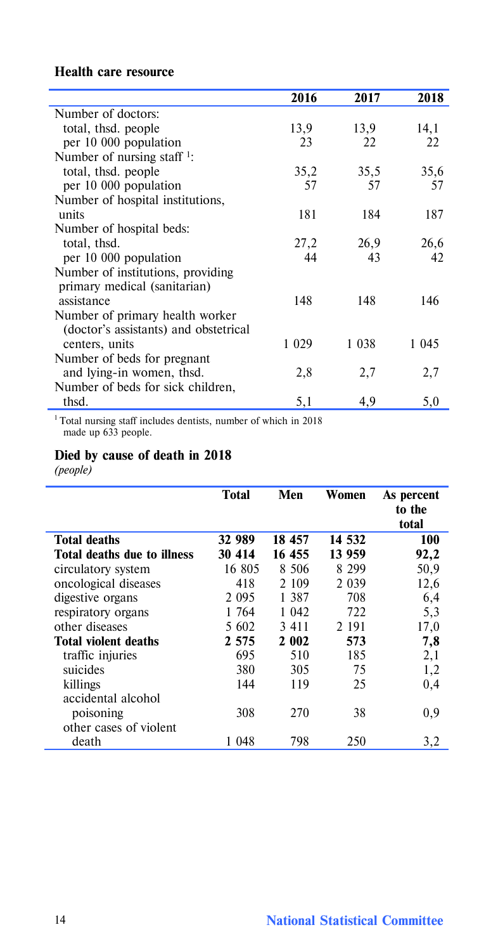# **Health care resource**

|                                         | 2016    | 2017    | 2018    |
|-----------------------------------------|---------|---------|---------|
| Number of doctors:                      |         |         |         |
| total, thsd. people                     | 13,9    | 13,9    | 14,1    |
| per 10 000 population                   | 23      | 22      | 22      |
| Number of nursing staff $\frac{1}{2}$ : |         |         |         |
| total, thsd. people                     | 35,2    | 35,5    | 35,6    |
| per 10 000 population                   | 57      | 57      | 57      |
| Number of hospital institutions,        |         |         |         |
| units                                   | 181     | 184     | 187     |
| Number of hospital beds:                |         |         |         |
| total, thsd.                            | 27,2    | 26,9    | 26,6    |
| per 10 000 population                   | 44      | 43      | 42      |
| Number of institutions, providing       |         |         |         |
| primary medical (sanitarian)            |         |         |         |
| assistance                              | 148     | 148     | 146     |
| Number of primary health worker         |         |         |         |
| (doctor's assistants) and obstetrical   |         |         |         |
| centers, units                          | 1 0 2 9 | 1 0 3 8 | 1 0 4 5 |
| Number of beds for pregnant             |         |         |         |
| and lying-in women, thsd.               | 2,8     | 2,7     | 2,7     |
| Number of beds for sick children,       |         |         |         |
| thsd.                                   | 5,1     | 4,9     | 5,0     |

1 Total nursing staff includes dentists, number of which in 2018 made up 633 people.

# **Died by cause of death in 2018**

*(people)*

|                             | Total   | Men    | Women   | As percent<br>to the<br>total |
|-----------------------------|---------|--------|---------|-------------------------------|
| <b>Total deaths</b>         | 32 989  | 18 457 | 14 532  | 100                           |
| Total deaths due to illness | 30 414  | 16 455 | 13 959  | 92,2                          |
| circulatory system          | 16 805  | 8 506  | 8 299   | 50,9                          |
| oncological diseases        | 418     | 2 109  | 2 0 3 9 | 12,6                          |
| digestive organs            | 2 0 9 5 | 1387   | 708     | 6,4                           |
| respiratory organs          | 1 764   | 1 042  | 722     | 5,3                           |
| other diseases              | 5 602   | 3411   | 2 191   | 17,0                          |
| Total violent deaths        | 2 5 7 5 | 2 002  | 573     | 7,8                           |
| traffic injuries            | 695     | 510    | 185     | 2,1                           |
| suicides                    | 380     | 305    | 75      | 1,2                           |
| killings                    | 144     | 119    | 25      | 0,4                           |
| accidental alcohol          |         |        |         |                               |
| poisoning                   | 308     | 270    | 38      | 0,9                           |
| other cases of violent      |         |        |         |                               |
| death                       | 1048    | 798    | 250     | 3,2                           |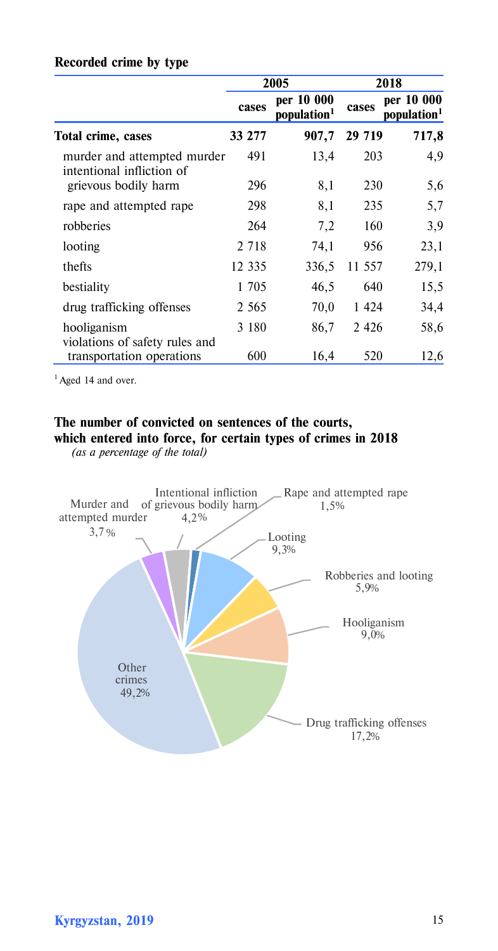|                                                          |         | 2005                                  |         | 2018                                  |
|----------------------------------------------------------|---------|---------------------------------------|---------|---------------------------------------|
|                                                          | cases   | per 10 000<br>population <sup>1</sup> | cases   | per 10 000<br>population <sup>1</sup> |
| Total crime, cases                                       | 33 277  | 907,7                                 | 29 7 19 | 717,8                                 |
| murder and attempted murder<br>intentional infliction of | 491     | 13,4                                  | 203     | 4,9                                   |
| grievous bodily harm                                     | 296     | 8,1                                   | 230     | 5,6                                   |
| rape and attempted rape                                  | 298     | 8,1                                   | 235     | 5,7                                   |
| robberies                                                | 264     | 7,2                                   | 160     | 3,9                                   |
| looting                                                  | 2 7 1 8 | 74,1                                  | 956     | 23,1                                  |
| thefts                                                   | 12 335  | 336,5                                 | 11 557  | 279,1                                 |
| bestiality                                               | 1 705   | 46,5                                  | 640     | 15,5                                  |
| drug trafficking offenses                                | 2 5 6 5 | 70,0                                  | 1 4 2 4 | 34,4                                  |
| hooliganism<br>violations of safety rules and            | 3 1 8 0 | 86,7                                  | 2 4 2 6 | 58,6                                  |
| transportation operations                                | 600     | 16,4                                  | 520     | 12,6                                  |

# **Recorded crime by type**

<sup>1</sup> Aged 14 and over.

# **The number of convicted on sentences of the courts, which entered into force, for certain types of crimes in 2018**

 *(as a percentage of the total)*

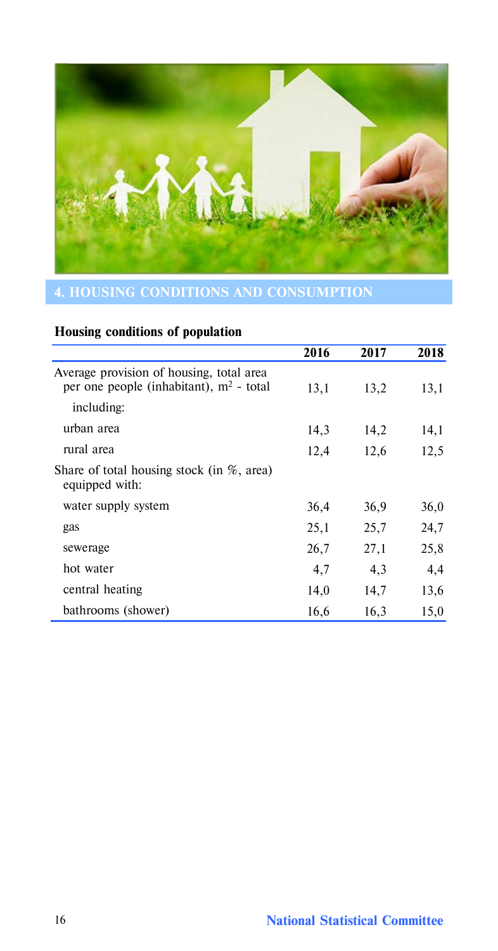

# **Housing conditions of population**

|                                                                                       | 2016 | 2017 | 2018 |
|---------------------------------------------------------------------------------------|------|------|------|
| Average provision of housing, total area<br>per one people (inhabitant), $m2$ - total | 13,1 | 13,2 | 13,1 |
| including:                                                                            |      |      |      |
| urban area                                                                            | 14,3 | 14,2 | 14,1 |
| rural area                                                                            | 12,4 | 12,6 | 12,5 |
| Share of total housing stock (in $\%$ , area)<br>equipped with:                       |      |      |      |
| water supply system                                                                   | 36,4 | 36,9 | 36,0 |
| gas                                                                                   | 25,1 | 25,7 | 24,7 |
| sewerage                                                                              | 26,7 | 27,1 | 25,8 |
| hot water                                                                             | 4,7  | 4,3  | 4,4  |
| central heating                                                                       | 14,0 | 14,7 | 13,6 |
| bathrooms (shower)                                                                    | 16,6 | 16,3 | 15,0 |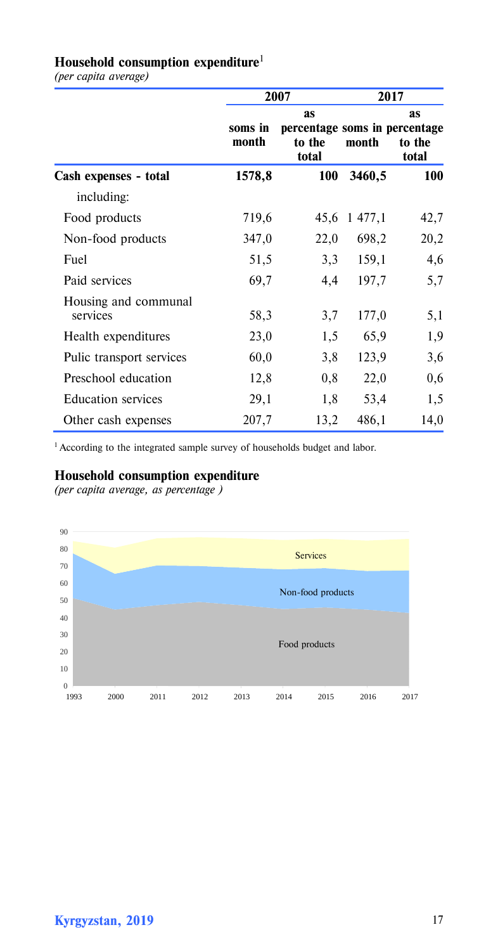# **Household consumption expenditure**<sup>1</sup>

*(per capita average)*

|                                  |                  | 2007                                                          | 2017    |                              |  |  |
|----------------------------------|------------------|---------------------------------------------------------------|---------|------------------------------|--|--|
|                                  | soms in<br>month | <b>as</b><br>percentage soms in percentage<br>to the<br>total | month   | <b>as</b><br>to the<br>total |  |  |
| Cash expenses - total            | 1578,8           | 100                                                           | 3460,5  | 100                          |  |  |
| including:                       |                  |                                                               |         |                              |  |  |
| Food products                    | 719,6            | 45,6                                                          | 1 477,1 | 42,7                         |  |  |
| Non-food products                | 347,0            | 22,0                                                          | 698,2   | 20,2                         |  |  |
| Fuel                             | 51,5             | 3,3                                                           | 159,1   | 4,6                          |  |  |
| Paid services                    | 69,7             | 4,4                                                           | 197,7   | 5,7                          |  |  |
| Housing and communal<br>services | 58,3             | 3,7                                                           | 177,0   | 5,1                          |  |  |
| Health expenditures              | 23,0             | 1,5                                                           | 65,9    | 1,9                          |  |  |
| Pulic transport services         | 60,0             | 3,8                                                           | 123,9   | 3,6                          |  |  |
| Preschool education              | 12,8             | 0,8                                                           | 22,0    | 0,6                          |  |  |
| <b>Education</b> services        | 29,1             | 1,8                                                           | 53,4    | 1,5                          |  |  |
| Other cash expenses              | 207,7            | 13,2                                                          | 486,1   | 14,0                         |  |  |

 $1$  According to the integrated sample survey of households budget and labor.

# **Household consumption expenditure**

*(per capita average, as percentage )*

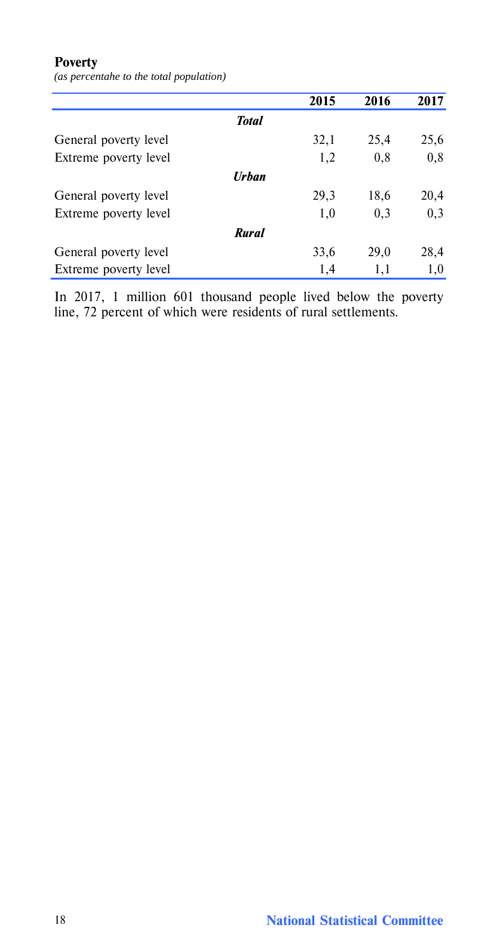# **Poverty**

*(as percentahe to the total population)*

|                       |              | 2015 | 2016 | 2017 |
|-----------------------|--------------|------|------|------|
|                       | <b>Total</b> |      |      |      |
| General poverty level |              | 32,1 | 25,4 | 25,6 |
| Extreme poverty level |              | 1,2  | 0,8  | 0,8  |
|                       | <b>Urban</b> |      |      |      |
| General poverty level |              | 29,3 | 18,6 | 20,4 |
| Extreme poverty level |              | 1,0  | 0,3  | 0,3  |
|                       | <b>Rural</b> |      |      |      |
| General poverty level |              | 33,6 | 29,0 | 28,4 |
| Extreme poverty level |              | 1,4  | 1,1  | 1,0  |

In 2017, 1 million 601 thousand people lived below the poverty line, 72 percent of which were residents of rural settlements.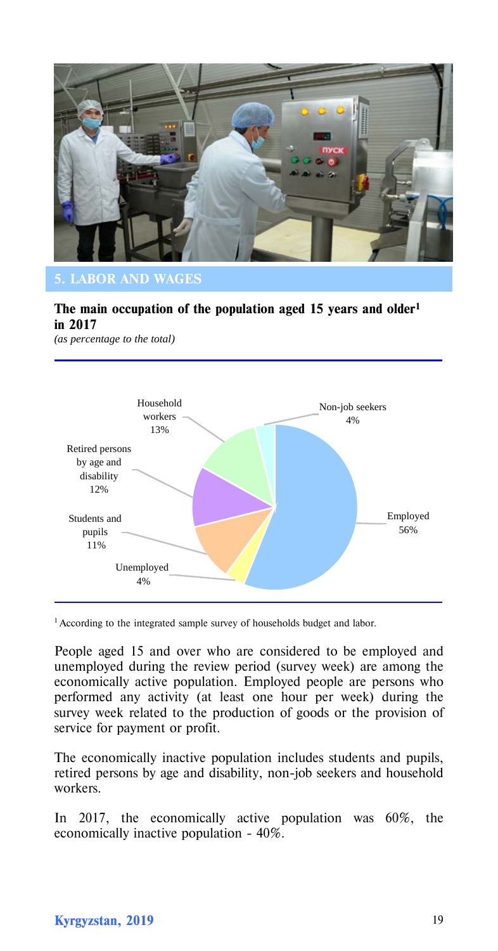

# **5. LABOR AND WAGES**

# **The main occupation of the population aged 15 years and older1 in 2017**

*(as percentage to the total)*



<sup>1</sup> According to the integrated sample survey of households budget and labor.

People aged 15 and over who are considered to be employed and unemployed during the review period (survey week) are among the economically active population. Employed people are persons who performed any activity (at least one hour per week) during the survey week related to the production of goods or the provision of service for payment or profit.

The economically inactive population includes students and pupils, retired persons by age and disability, non-job seekers and household workers.

In 2017, the economically active population was 60%, the economically inactive population - 40%.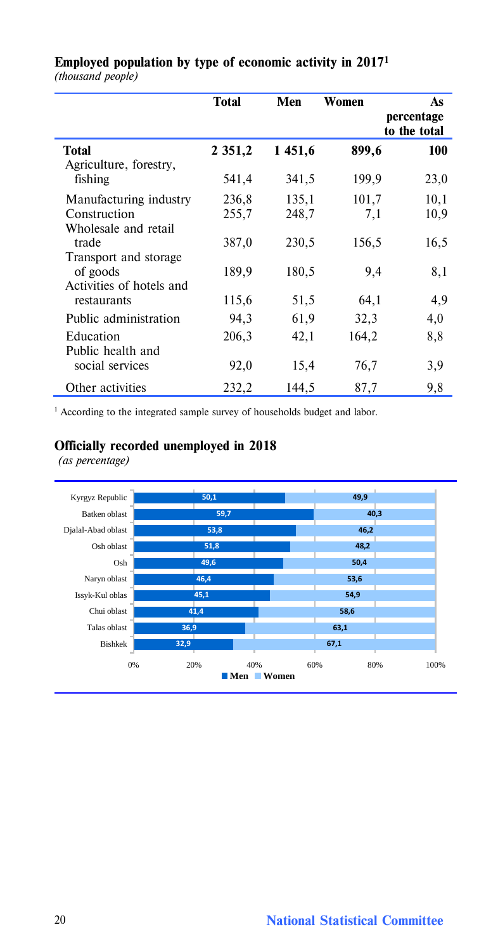|                          | Total       | Men    | Women | As<br>percentage |
|--------------------------|-------------|--------|-------|------------------|
|                          |             |        |       | to the total     |
| <b>Total</b>             | 2 3 5 1 , 2 | 1451,6 | 899,6 | 100              |
| Agriculture, forestry,   |             |        |       |                  |
| fishing                  | 541,4       | 341,5  | 199,9 | 23,0             |
| Manufacturing industry   | 236,8       | 135,1  | 101,7 | 10,1             |
| Construction             | 255,7       | 248,7  | 7,1   | 10,9             |
| Wholesale and retail     |             |        |       |                  |
| trade                    | 387,0       | 230,5  | 156,5 | 16,5             |
| Transport and storage    |             |        |       |                  |
| of goods                 | 189,9       | 180,5  | 9,4   | 8,1              |
| Activities of hotels and |             |        |       |                  |
| restaurants              | 115,6       | 51,5   | 64,1  | 4,9              |
| Public administration    | 94,3        | 61,9   | 32,3  | 4,0              |
| Education                | 206,3       | 42,1   | 164,2 | 8,8              |
| Public health and        |             |        |       |                  |
| social services          | 92,0        | 15,4   | 76,7  | 3,9              |
|                          |             |        |       |                  |
| Other activities         | 232,2       | 144,5  | 87,7  | 9,8              |

# **Employed population by type of economic activity in 20171** *(thousand people)*

<sup>1</sup> According to the integrated sample survey of households budget and labor.

# **Officially recorded unemployed in 2018**

*(as percentage)*

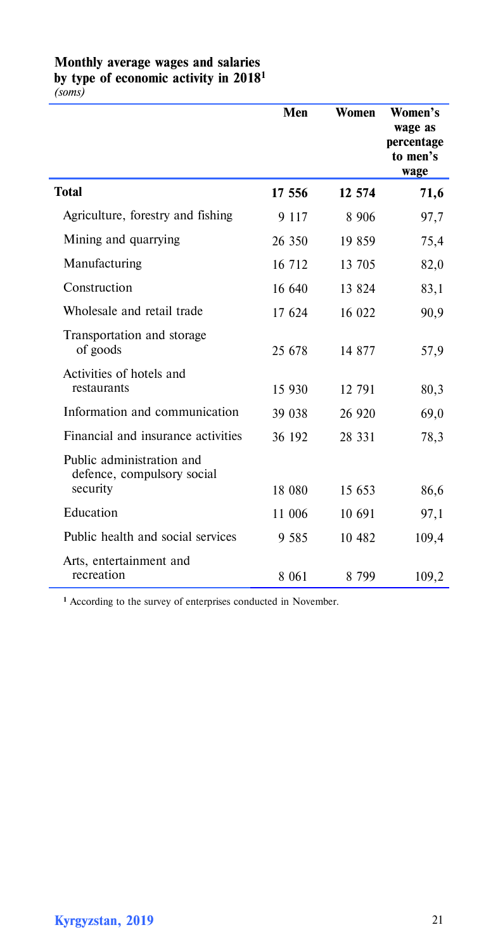# **Monthly average wages and salaries by type of economic activity in 20181**

*(soms)*

|                                                         | Men     | Women   | Women's<br>wage as<br>percentage<br>to men's<br>wage |
|---------------------------------------------------------|---------|---------|------------------------------------------------------|
| <b>Total</b>                                            | 17 556  | 12 574  | 71,6                                                 |
| Agriculture, forestry and fishing                       | 9 1 1 7 | 8 9 0 6 | 97,7                                                 |
| Mining and quarrying                                    | 26 350  | 19 859  | 75,4                                                 |
| Manufacturing                                           | 16 712  | 13 705  | 82,0                                                 |
| Construction                                            | 16 640  | 13 824  | 83,1                                                 |
| Wholesale and retail trade                              | 17 624  | 16 022  | 90,9                                                 |
| Transportation and storage<br>of goods                  | 25 678  | 14 877  | 57,9                                                 |
| Activities of hotels and<br>restaurants                 | 15 930  | 12 791  | 80,3                                                 |
| Information and communication                           | 39 038  | 26 920  | 69,0                                                 |
| Financial and insurance activities                      | 36 192  | 28 331  | 78,3                                                 |
| Public administration and<br>defence, compulsory social |         |         |                                                      |
| security                                                | 18 080  | 15 653  | 86,6                                                 |
| Education                                               | 11 006  | 10 691  | 97,1                                                 |
| Public health and social services                       | 9 5 8 5 | 10 482  | 109,4                                                |
| Arts, entertainment and<br>recreation                   | 8 0 61  | 8 799   | 109,2                                                |

**<sup>1</sup>** According to the survey of enterprises conducted in November.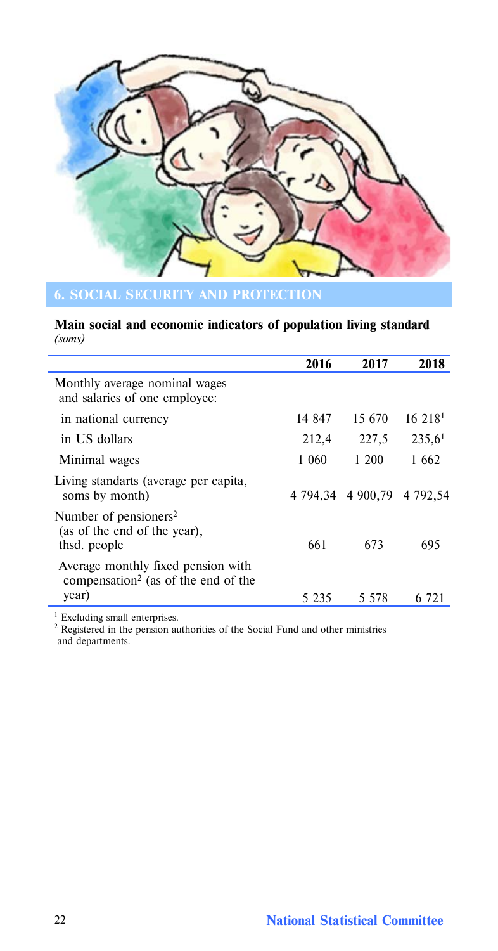

# **Main social and economic indicators of population living standard** *(soms)*

|                                                                                                | 2016   | 2017                       | 2018                 |
|------------------------------------------------------------------------------------------------|--------|----------------------------|----------------------|
| Monthly average nominal wages<br>and salaries of one employee:                                 |        |                            |                      |
| in national currency                                                                           | 14 847 | 15.670                     | 16 218               |
| in US dollars                                                                                  | 212,4  | 227,5                      | $235,6$ <sup>1</sup> |
| Minimal wages                                                                                  | 1 060  | 1 200                      | 1.662                |
| Living standarts (average per capita,<br>soms by month)                                        |        | 4 794,34 4 900,79 4 792,54 |                      |
| Number of pensioners <sup>2</sup><br>(as of the end of the year),<br>thsd. people              | 661    | 673                        | 695                  |
| Average monthly fixed pension with<br>compensation <sup>2</sup> (as of the end of the<br>year) |        | 5 578                      |                      |
|                                                                                                | 5 235  |                            | -721                 |

<sup>1</sup> Excluding small enterprises.<br><sup>2</sup> Registered in the pension authorities of the Social Fund and other ministries and departments.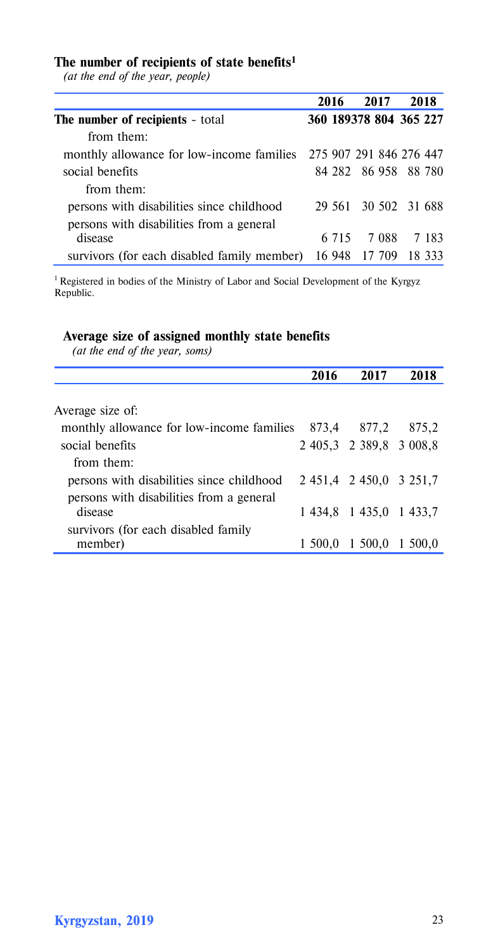#### **The number of recipients of state benefits1**

*(at the end of the year, people)*

|                                                                   | 2016  | 2017                   | 2018  |
|-------------------------------------------------------------------|-------|------------------------|-------|
| The number of recipients - total                                  |       | 360 189378 804 365 227 |       |
| from them:                                                        |       |                        |       |
| monthly allowance for low-income families 275 907 291 846 276 447 |       |                        |       |
| social benefits                                                   |       | 84 282 86 958 88 780   |       |
| from them:                                                        |       |                        |       |
| persons with disabilities since childhood                         |       | 29 561 30 502 31 688   |       |
| persons with disabilities from a general                          |       |                        |       |
| disease                                                           | 6.715 | 7.088                  | 7 183 |
| survivors (for each disabled family member) 16 948 17 709 18 333  |       |                        |       |

1 Registered in bodies of the Ministry of Labor and Social Development of the Kyrgyz Republic.

# **Average size of assigned monthly state benefits**

*(at the end of the year, soms)*

| 2016                                               | 2017    | 2018                                                                          |
|----------------------------------------------------|---------|-------------------------------------------------------------------------------|
|                                                    |         |                                                                               |
|                                                    |         |                                                                               |
| monthly allowance for low-income families<br>873.4 | 877.2   | 875,2                                                                         |
|                                                    |         |                                                                               |
|                                                    |         |                                                                               |
|                                                    |         |                                                                               |
|                                                    |         |                                                                               |
|                                                    |         |                                                                               |
|                                                    |         |                                                                               |
| 1 500.0                                            | 1 500,0 | 1 500.0                                                                       |
|                                                    |         | 2 405,3 2 389,8 3 008,8<br>2 451,4 2 450,0 3 251,7<br>1 434,8 1 435,0 1 433,7 |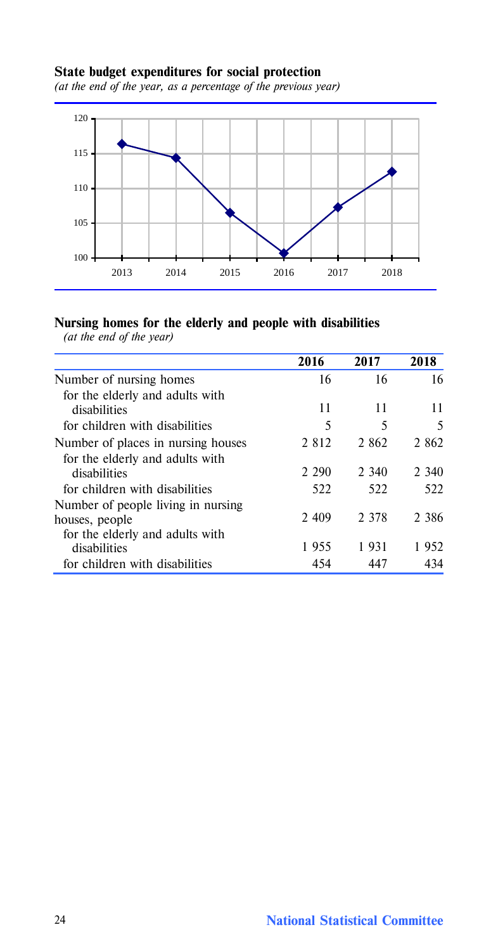# **State budget expenditures for social protection**

*(at the end of the year, as a percentage of the previous year)*



# **Nursing homes for the elderly and people with disabilities**

|                                                                                          | 2016    | 2017    | 2018    |
|------------------------------------------------------------------------------------------|---------|---------|---------|
| Number of nursing homes                                                                  | 16      | 16      | 16      |
| for the elderly and adults with                                                          |         |         |         |
| disabilities                                                                             | 11      | 11      | 11      |
| for children with disabilities                                                           | 5       | 5       | 5       |
| Number of places in nursing houses                                                       | 2 8 1 2 | 2 862   | 2 862   |
| for the elderly and adults with<br>disabilities                                          | 2 2 9 0 | 2 340   | 2 340   |
| for children with disabilities                                                           | 522     | 522     | 522     |
| Number of people living in nursing.<br>houses, people<br>for the elderly and adults with | 2 4 0 9 | 2 3 7 8 | 2 3 8 6 |
| disabilities                                                                             | 1955    | 1931    | 1952    |
| for children with disabilities                                                           | 454     | 447     | 434     |

*(at the end of the year)*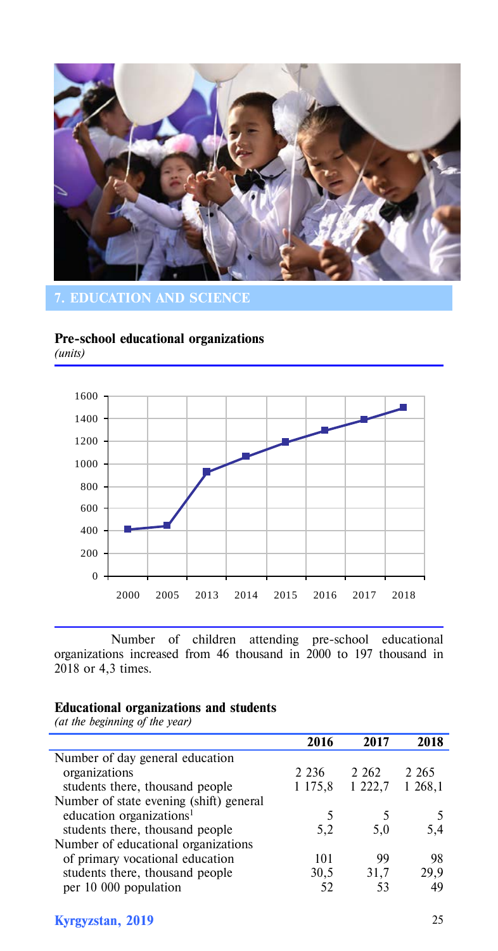

# **7. EDUCATION AND SCIENCE**

#### **Pre-school educational organizations**  *(units)*



Number of children attending pre-school educational organizations increased from 46 thousand in 2000 to 197 thousand in 2018 or 4,3 times.

# **Educational organizations and students**

*(at the beginning of the year)*

|                                         | 2016    | 2017    | 2018    |
|-----------------------------------------|---------|---------|---------|
| Number of day general education         |         |         |         |
| organizations                           | 2 2 3 6 | 2 2 6 2 | 2 2 6 5 |
| students there, thousand people         | 1 175.8 | 1 222,7 | 1 268,1 |
| Number of state evening (shift) general |         |         |         |
| education organizations <sup>1</sup>    | 5       |         |         |
| students there, thousand people         | 5,2     | 5,0     | 5,4     |
| Number of educational organizations     |         |         |         |
| of primary vocational education         | 101     | 99      | 98      |
| students there, thousand people         | 30,5    | 31.7    | 29.9    |
| per 10 000 population                   | 52      | 53      | 49      |

# **Kyrgyzstan, 2019** 25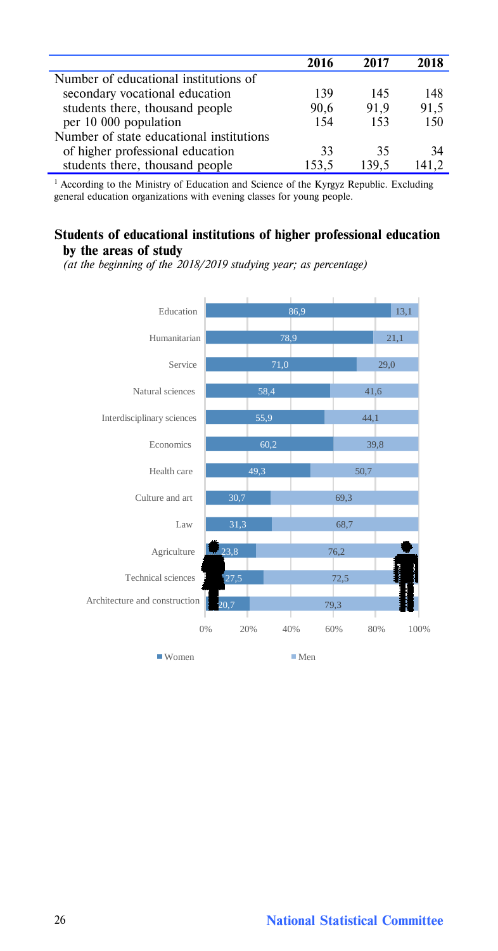|                                          | 2016  | 2017  | 2018 |
|------------------------------------------|-------|-------|------|
| Number of educational institutions of    |       |       |      |
| secondary vocational education           | 139   | 145   | 148  |
| students there, thousand people          | 90.6  | 91.9  | 91,5 |
| per 10 000 population                    | 154   | 153   | 150  |
| Number of state educational institutions |       |       |      |
| of higher professional education         | 33    | 35    | 34   |
| students there, thousand people          | 153.5 | 139.5 | 1412 |

<sup>1</sup> According to the Ministry of Education and Science of the Kyrgyz Republic. Excluding general education organizations with evening classes for young people.

### **Students of educational institutions of higher professional education by the areas of study**

*(at the beginning of the 2018/2019 studying year; as percentage)*



26 **National Statistical Committee**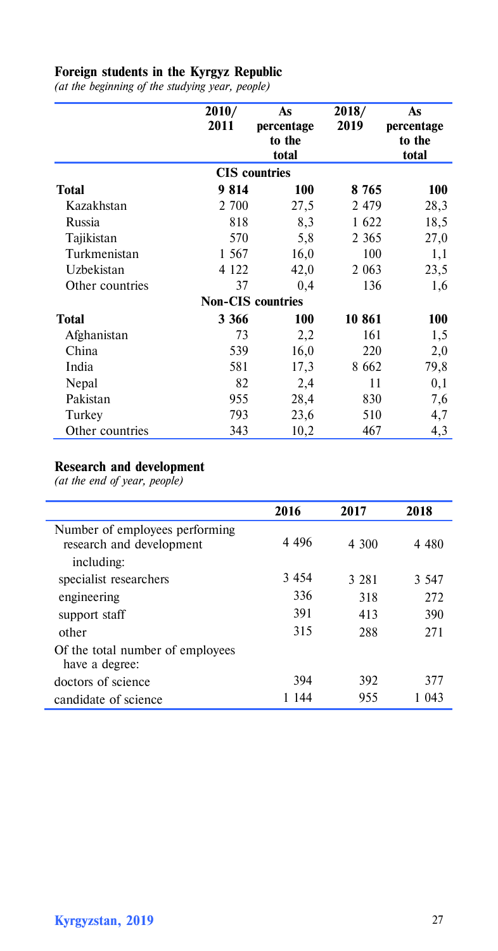## **Foreign students in the Kyrgyz Republic**

*(at the beginning of the studying year, people)*

|                 | 2010/<br>2011 | As<br>percentage<br>to the<br>total | 2018/<br>2019 | As<br>percentage<br>to the<br>total |
|-----------------|---------------|-------------------------------------|---------------|-------------------------------------|
|                 |               | <b>CIS</b> countries                |               |                                     |
| Total           | 9814          | 100                                 | 8 7 6 5       | 100                                 |
| Kazakhstan      | 2 700         | 27,5                                | 2479          | 28,3                                |
| Russia          | 818           | 8,3                                 | 1622          | 18,5                                |
| Tajikistan      | 570           | 5,8                                 | 2 3 6 5       | 27,0                                |
| Turkmenistan    | 1 567         | 16,0                                | 100           | 1,1                                 |
| Uzbekistan      | 4 1 2 2       | 42,0                                | 2 0 6 3       | 23,5                                |
| Other countries | 37            | 0,4                                 | 136           | 1,6                                 |
|                 |               | <b>Non-CIS</b> countries            |               |                                     |
| Total           | 3 3 6 6       | 100                                 | 10 861        | 100                                 |
| Afghanistan     | 73            | 2,2                                 | 161           | 1,5                                 |
| China           | 539           | 16,0                                | 220           | 2,0                                 |
| India           | 581           | 17,3                                | 8 6 6 2       | 79,8                                |
| Nepal           | 82            | 2,4                                 | 11            | 0,1                                 |
| Pakistan        | 955           | 28,4                                | 830           | 7,6                                 |
| Turkey          | 793           | 23,6                                | 510           | 4,7                                 |
| Other countries | 343           | 10,2                                | 467           | 4,3                                 |

# **Research and development**

*(at the end of year, people)*

|                                                            | 2016    | 2017    | 2018    |
|------------------------------------------------------------|---------|---------|---------|
| Number of employees performing<br>research and development | 4 4 9 6 | 4 300   | 4 4 8 0 |
| including:                                                 |         |         |         |
| specialist researchers                                     | 3 4 5 4 | 3 2 8 1 | 3 5 4 7 |
| engineering                                                | 336     | 318     | 272     |
| support staff                                              | 391     | 413     | 390     |
| other                                                      | 315     | 288     | 271     |
| Of the total number of employees<br>have a degree:         |         |         |         |
| doctors of science                                         | 394     | 392     | 377     |
| candidate of science                                       | 144     | 955     | 1043    |

Í,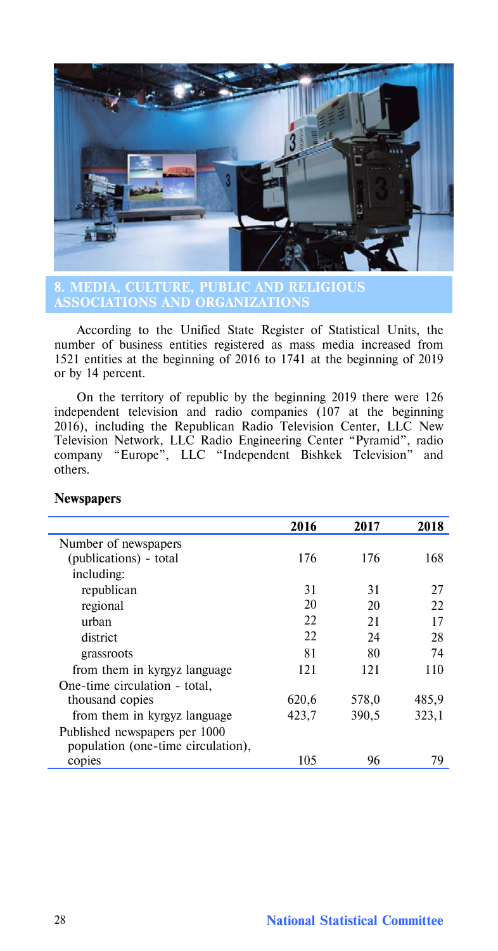

**8. MEDIA, CULTURE, PUBLIC AND RELIGIOUS** 

According to the Unified State Register of Statistical Units, the number of business entities registered as mass media increased from 1521 entities at the beginning of 2016 to 1741 at the beginning of 2019 or by 14 percent.

On the territory of republic by the beginning 2019 there were 126 independent television and radio companies (107 at the beginning 2016), including the Republican Radio Television Center, LLC New Television Network, LLC Radio Engineering Center "Pyramid", radio company "Europe", LLC "Independent Bishkek Television" and others.

|                                    | 2016  | 2017  | 2018  |
|------------------------------------|-------|-------|-------|
| Number of newspapers               |       |       |       |
| (publications) - total             | 176   | 176   | 168   |
| including:                         |       |       |       |
| republican                         | 31    | 31    | 27    |
| regional                           | 20    | 20    | 22    |
| urban                              | 22.   | 21    | 17    |
| district                           | 22    | 24    | 28    |
| grassroots                         | 81    | 80    | 74    |
| from them in kyrgyz language       | 121   | 121   | 110   |
| One-time circulation - total,      |       |       |       |
| thousand copies                    | 620,6 | 578,0 | 485,9 |
| from them in kyrgyz language       | 423,7 | 390,5 | 323,1 |
| Published newspapers per 1000      |       |       |       |
| population (one-time circulation), |       |       |       |
| copies                             | 105   | 96    | 79    |

# **Newspapers**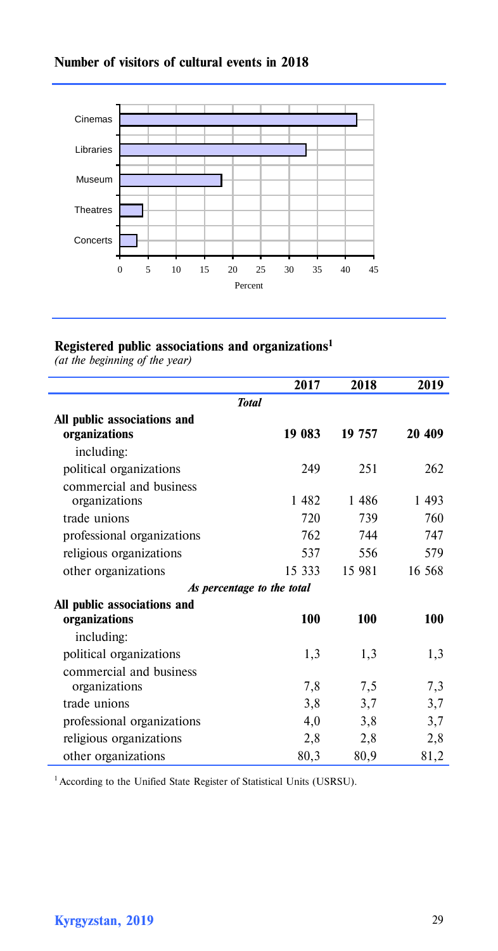# **Number of visitors of cultural events in 2018**



# **Registered public associations and organizations1**

*(at the beginning of the year)*

|                             | 2017   | 2018   | 2019   |  |  |  |
|-----------------------------|--------|--------|--------|--|--|--|
| <b>Total</b>                |        |        |        |  |  |  |
| All public associations and |        |        |        |  |  |  |
| organizations               | 19 083 | 19 757 | 20 409 |  |  |  |
| including:                  |        |        |        |  |  |  |
| political organizations     | 249    | 251    | 262    |  |  |  |
| commercial and business     |        |        |        |  |  |  |
| organizations               | 1482   | 1486   | 1 493  |  |  |  |
| trade unions                | 720    | 739    | 760    |  |  |  |
| professional organizations  | 762    | 744    | 747    |  |  |  |
| religious organizations     | 537    | 556    | 579    |  |  |  |
| other organizations         | 15 333 | 15 981 | 16 568 |  |  |  |
| As percentage to the total  |        |        |        |  |  |  |
| All public associations and |        |        |        |  |  |  |
| organizations               | 100    | 100    | 100    |  |  |  |
| including:                  |        |        |        |  |  |  |
| political organizations     | 1,3    | 1,3    | 1,3    |  |  |  |
| commercial and business     |        |        |        |  |  |  |
| organizations               | 7,8    | 7,5    | 7,3    |  |  |  |
| trade unions                | 3,8    | 3,7    | 3,7    |  |  |  |
| professional organizations  | 4,0    | 3,8    | 3,7    |  |  |  |
| religious organizations     | 2,8    | 2,8    | 2,8    |  |  |  |
| other organizations         | 80,3   | 80,9   | 81,2   |  |  |  |

<sup>1</sup> According to the Unified State Register of Statistical Units (USRSU).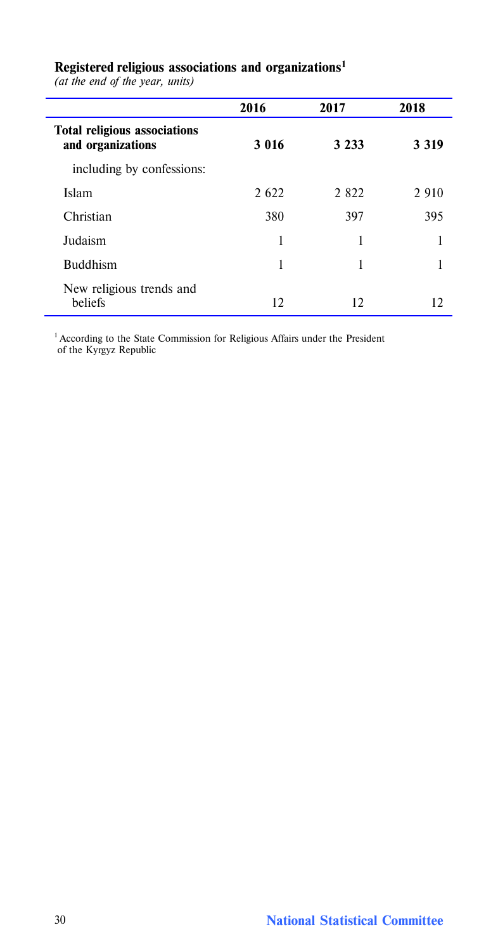|                                                          | 2016    | 2017    | 2018    |
|----------------------------------------------------------|---------|---------|---------|
| <b>Total religious associations</b><br>and organizations | 3 016   | 3 2 3 3 | 3 3 1 9 |
| including by confessions:                                |         |         |         |
| Islam                                                    | 2 6 2 2 | 2 8 2 2 | 2 9 1 0 |
| Christian                                                | 380     | 397     | 395     |
| Judaism                                                  | 1       | 1       |         |
| <b>Buddhism</b>                                          | 1       | 1       |         |
| New religious trends and<br>beliefs                      | 12      | 12      | 12      |

# **Registered religious associations and organizations1**

*(at the end of the year, units)*

<sup>1</sup> According to the State Commission for Religious Affairs under the President of the Kyrgyz Republic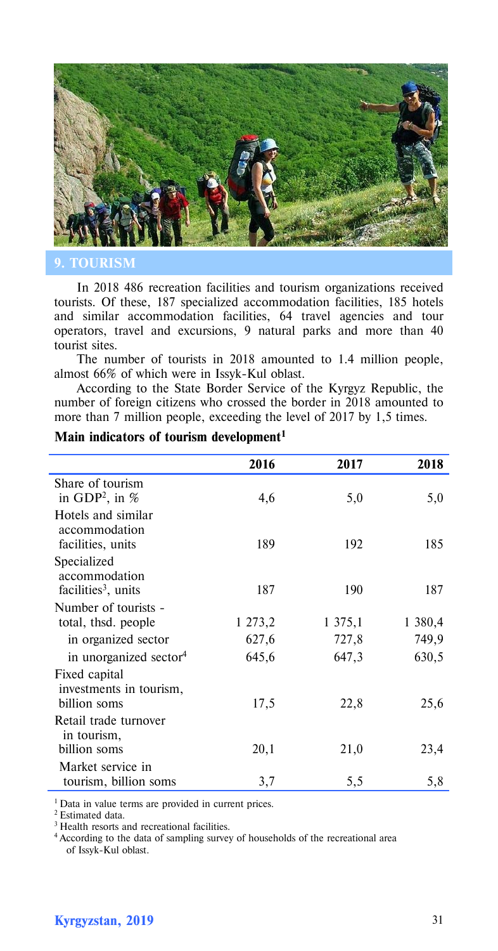

#### **9. TOURISM**

In 2018 486 recreation facilities and tourism organizations received tourists. Of these, 187 specialized accommodation facilities, 185 hotels and similar accommodation facilities, 64 travel agencies and tour operators, travel and excursions, 9 natural parks and more than 40 tourist sites.

The number of tourists in 2018 amounted to 1.4 million people, almost 66% of which were in Issyk-Kul oblast.

According to the State Border Service of the Kyrgyz Republic, the number of foreign citizens who crossed the border in 2018 amounted to more than 7 million people, exceeding the level of 2017 by 1,5 times.

|                                                          | 2016    | 2017    | 2018    |
|----------------------------------------------------------|---------|---------|---------|
| Share of tourism<br>in GDP <sup>2</sup> , in $%$         | 4,6     | 5,0     | 5,0     |
| Hotels and similar<br>accommodation<br>facilities, units | 189     | 192     | 185     |
| Specialized<br>accommodation<br>facilities $3$ , units   | 187     | 190     | 187     |
| Number of tourists -<br>total, thsd. people              | 1 273,2 | 1 375,1 | 1 380,4 |
| in organized sector                                      | 627,6   | 727,8   | 749,9   |
| in unorganized sector <sup>4</sup>                       | 645,6   | 647,3   | 630,5   |
| Fixed capital<br>investments in tourism,<br>billion soms | 17,5    | 22,8    | 25,6    |
| Retail trade turnover<br>in tourism,<br>billion soms     | 20,1    | 21,0    | 23,4    |
| Market service in                                        |         |         |         |
| tourism, billion soms                                    | 3,7     | 5,5     | 5,8     |

# **Main indicators of tourism development1**

<sup>1</sup> Data in value terms are provided in current prices.

2 Estimated data.

<sup>3</sup> Health resorts and recreational facilities.

<sup>4</sup> According to the data of sampling survey of households of the recreational area of Issyk-Kul oblast.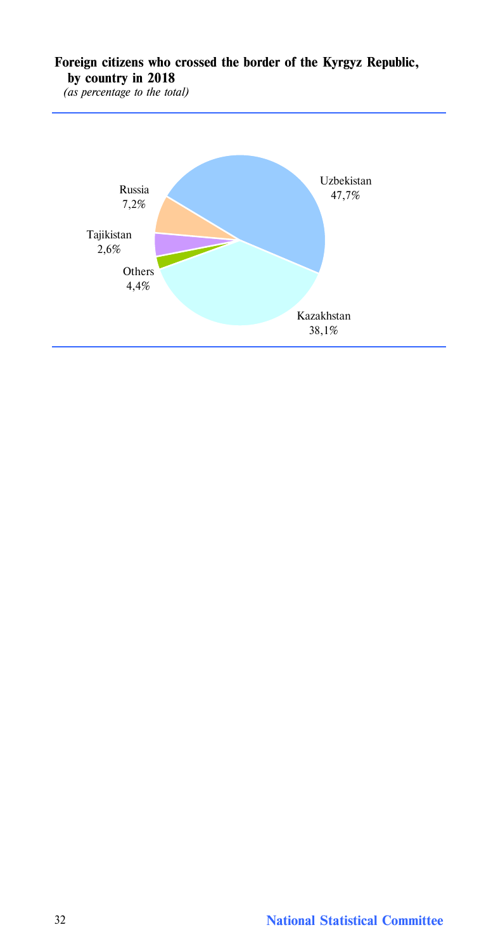# **Foreign citizens who crossed the border of the Kyrgyz Republic, by country in 2018**

*(as percentage to the total)*

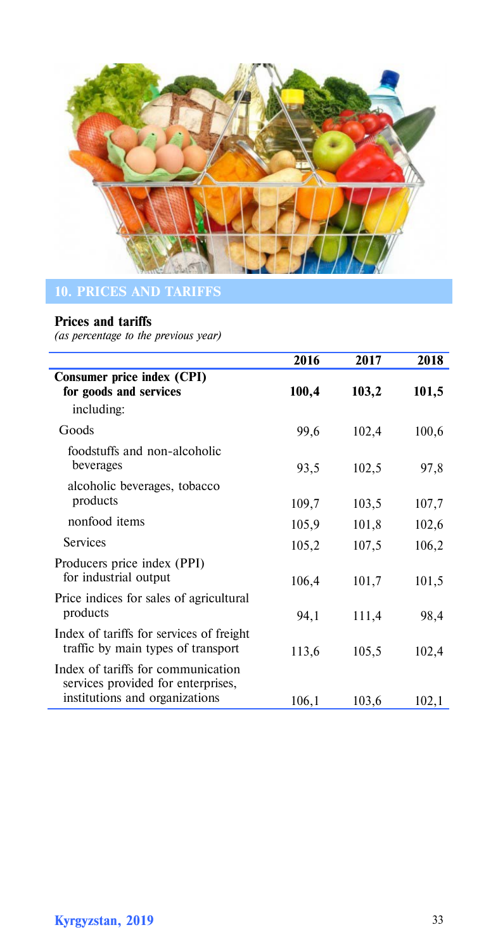

# **Prices and tariffs**

*(as percentage to the previous year)*

|                                                                                                            | 2016  | 2017  | 2018  |
|------------------------------------------------------------------------------------------------------------|-------|-------|-------|
| Consumer price index (CPI)<br>for goods and services<br>including:                                         | 100,4 | 103,2 | 101,5 |
| Goods                                                                                                      | 99,6  | 102,4 | 100,6 |
| foodstuffs and non-alcoholic<br>beverages                                                                  | 93,5  | 102,5 | 97,8  |
| alcoholic beverages, tobacco<br>products                                                                   | 109,7 | 103,5 | 107,7 |
| nonfood items                                                                                              | 105,9 | 101,8 | 102,6 |
| <b>Services</b>                                                                                            | 105,2 | 107,5 | 106,2 |
| Producers price index (PPI)<br>for industrial output                                                       | 106,4 | 101,7 | 101,5 |
| Price indices for sales of agricultural<br>products                                                        | 94,1  | 111,4 | 98,4  |
| Index of tariffs for services of freight<br>traffic by main types of transport                             | 113,6 | 105,5 | 102,4 |
| Index of tariffs for communication<br>services provided for enterprises,<br>institutions and organizations | 106,1 | 103,6 | 102,1 |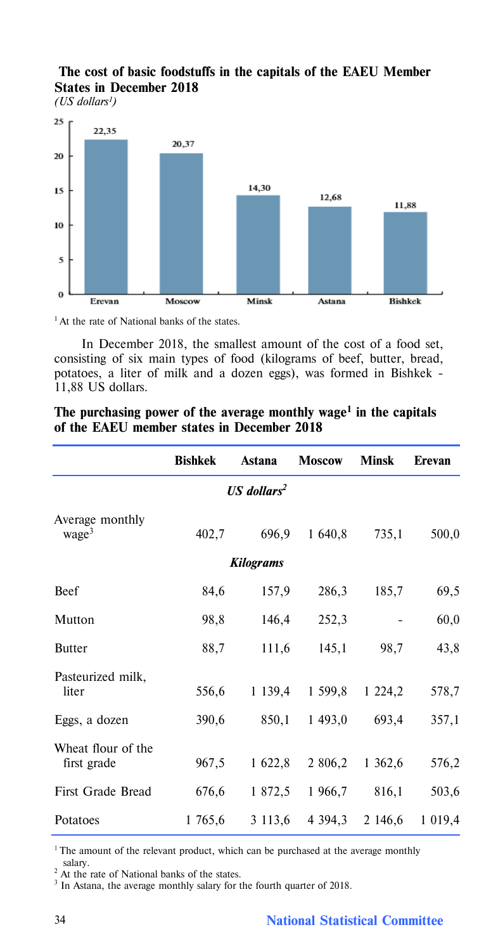# **The cost of basic foodstuffs in the capitals of the EAEU Member States in December 2018**

*(US dollars1)* 



<sup>1</sup> At the rate of National banks of the states.

In December 2018, the smallest amount of the cost of a food set, consisting of six main types of food (kilograms of beef, butter, bread, potatoes, a liter of milk and a dozen eggs), was formed in Bishkek - 11,88 US dollars.

|                                      | <b>Bishkek</b> | Astana                    | <b>Moscow</b> | <b>Minsk</b> | Erevan    |
|--------------------------------------|----------------|---------------------------|---------------|--------------|-----------|
|                                      |                | $US$ dollars <sup>2</sup> |               |              |           |
| Average monthly<br>wage <sup>3</sup> | 402,7          | 696,9                     | 1 640,8       | 735,1        | 500,0     |
|                                      |                | <b>Kilograms</b>          |               |              |           |
| <b>Beef</b>                          | 84,6           | 157,9                     | 286,3         | 185,7        | 69,5      |
| Mutton                               | 98,8           | 146,4                     | 252,3         |              | 60,0      |
| <b>Butter</b>                        | 88,7           | 111,6                     | 145,1         | 98,7         | 43,8      |
| Pasteurized milk,<br>liter           | 556,6          | 1 1 3 9 4                 | 1 599,8       | 1 2 2 4 2    | 578,7     |
| Eggs, a dozen                        | 390,6          | 850,1                     | 1 493,0       | 693,4        | 357,1     |
| Wheat flour of the<br>first grade    | 967,5          | 1 622,8                   | 2 806,2       | 1 3 6 2 . 6  | 576,2     |
| First Grade Bread                    | 676,6          | 1 872,5                   | 1 966,7       | 816,1        | 503,6     |
| Potatoes                             | 1765,6         | 3 113,6                   | 4 3 9 4 3     | 2 146,6      | 1 0 1 9 4 |

## **The purchasing power of the average monthly wage1 in the capitals of the EAEU member states in December 2018**

 $1$ <sup>1</sup> The amount of the relevant product, which can be purchased at the average monthly salary.

<sup>2</sup> At the rate of National banks of the states.

<sup>3</sup> In Astana, the average monthly salary for the fourth quarter of 2018.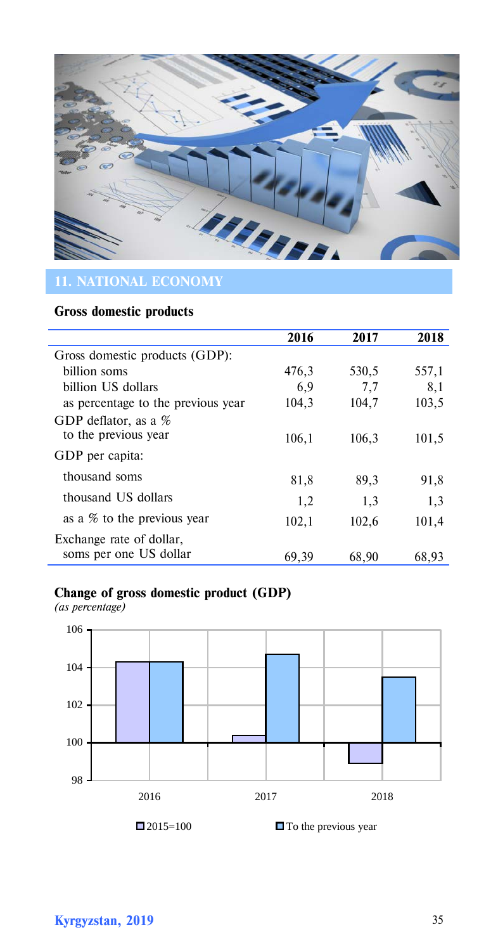

# **Gross domestic products**

|                                    | 2016  | 2017  | 2018  |
|------------------------------------|-------|-------|-------|
| Gross domestic products (GDP):     |       |       |       |
| billion soms                       | 476,3 | 530,5 | 557,1 |
| billion US dollars                 | 6,9   | 7,7   | 8,1   |
| as percentage to the previous year | 104,3 | 104,7 | 103,5 |
| GDP deflator, as a %               |       |       |       |
| to the previous year               | 106,1 | 106,3 | 101,5 |
| GDP per capita:                    |       |       |       |
| thousand soms                      | 81,8  | 89,3  | 91,8  |
| thousand US dollars                | 1,2   | 1,3   | 1,3   |
| as a % to the previous year        | 102,1 | 102,6 | 101,4 |
| Exchange rate of dollar,           |       |       |       |
| soms per one US dollar             | 69.39 | 68.90 | 68.93 |

# **Change of gross domestic product (GDP)**

*(as percentage)*



□ 2015=100 □ To the previous year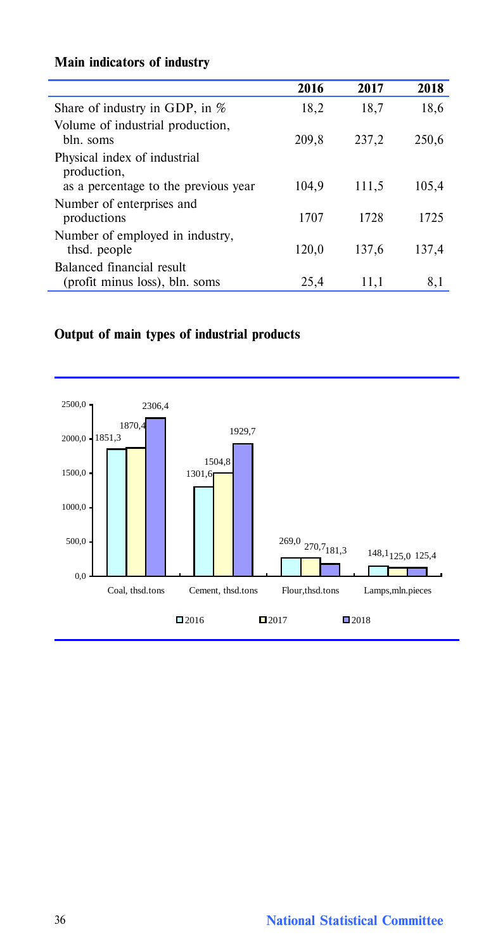# **Main indicators of industry**

í

|                                                                                     | 2016  | 2017  | 2018  |
|-------------------------------------------------------------------------------------|-------|-------|-------|
| Share of industry in GDP, in $%$                                                    | 18,2  | 18,7  | 18,6  |
| Volume of industrial production,<br>bln. soms                                       | 209,8 | 237.2 | 250,6 |
| Physical index of industrial<br>production,<br>as a percentage to the previous year | 104.9 | 111,5 | 105,4 |
| Number of enterprises and<br>productions                                            | 1707  | 1728  | 1725  |
| Number of employed in industry,<br>thsd. people                                     | 120,0 | 137.6 | 137.4 |
| Balanced financial result<br>(profit minus loss), bln. soms                         | 25,4  | 11,1  | 8,1   |

# **Output of main types of industrial products**

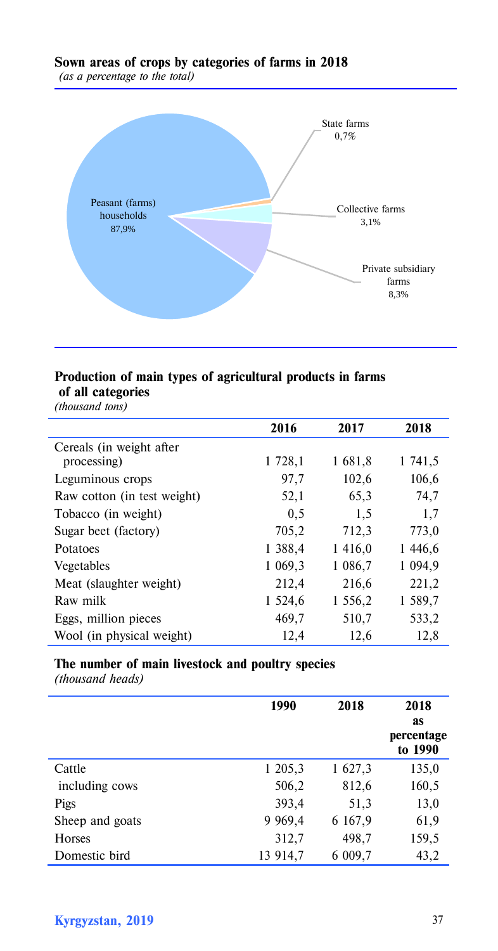#### **Sown areas of crops by categories of farms in 2018** *(as a percentage to the total)*



# **Production of main types of agricultural products in farms**

**of all categories** *(thousand tons)*

|                             | 2016    | 2017      | 2018      |
|-----------------------------|---------|-----------|-----------|
| Cereals (in weight after    |         |           |           |
| processing)                 | 1 728,1 | 1681,8    | 1 741,5   |
| Leguminous crops            | 97,7    | 102,6     | 106,6     |
| Raw cotton (in test weight) | 52,1    | 65,3      | 74,7      |
| Tobacco (in weight)         | 0.5     | 1,5       | 1,7       |
| Sugar beet (factory)        | 705,2   | 712,3     | 773,0     |
| Potatoes                    | 1 388,4 | 1416,0    | 1446,6    |
| Vegetables                  | 1 069,3 | 1 0 8 6 7 | 1 0 9 4 9 |
| Meat (slaughter weight)     | 212,4   | 216,6     | 221,2     |
| Raw milk                    | 1 524,6 | 1 556,2   | 1 589,7   |
| Eggs, million pieces        | 469,7   | 510,7     | 533,2     |
| Wool (in physical weight)   | 12.4    | 12.6      | 12.8      |

# **The number of main livestock and poultry species**

*(thousand heads)*

|                 | 1990     | 2018    | 2018<br><b>as</b><br>percentage<br>to 1990 |
|-----------------|----------|---------|--------------------------------------------|
| Cattle          | 1 205,3  | 1 627,3 | 135,0                                      |
| including cows  | 506,2    | 812,6   | 160,5                                      |
| Pigs            | 393,4    | 51,3    | 13,0                                       |
| Sheep and goats | 9 9 69,4 | 6 167,9 | 61,9                                       |
| Horses          | 312,7    | 498,7   | 159,5                                      |
| Domestic bird   | 13 914,7 | 6 009,7 | 43,2                                       |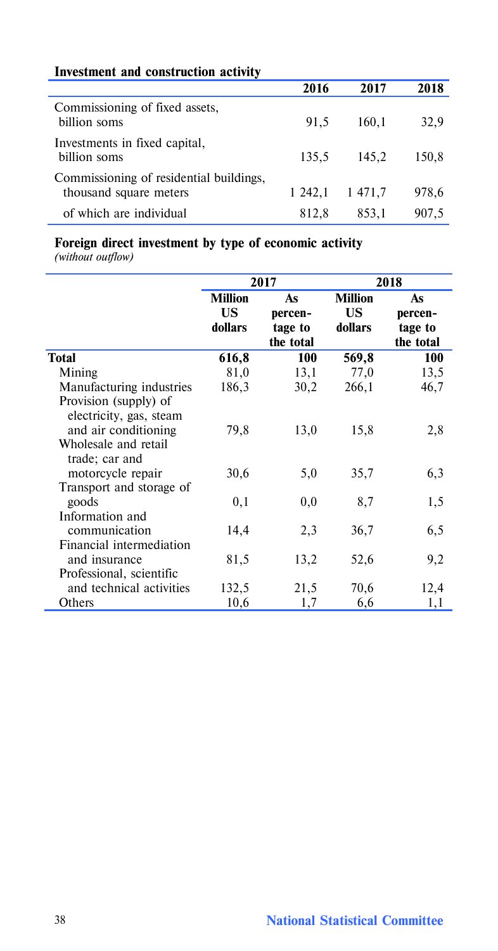| Investment and construction activity                              |         |         |       |
|-------------------------------------------------------------------|---------|---------|-------|
|                                                                   | 2016    | 2017    | 2018  |
| Commissioning of fixed assets,<br>hillion soms                    | 91,5    | 160.1   | 32,9  |
| Investments in fixed capital,<br>billion soms                     | 135.5   | 145.2   | 150.8 |
| Commissioning of residential buildings,<br>thousand square meters | 1 242.1 | 1 471.7 | 978,6 |
| of which are individual                                           | 812.8   | 853,1   | 907.5 |

## **Foreign direct investment by type of economic activity**

*(without outflow)*

|                                                                                                                    |                                 | 2017                                  |                                 | 2018                                  |
|--------------------------------------------------------------------------------------------------------------------|---------------------------------|---------------------------------------|---------------------------------|---------------------------------------|
|                                                                                                                    | <b>Million</b><br>US<br>dollars | As<br>percen-<br>tage to<br>the total | <b>Million</b><br>US<br>dollars | As<br>percen-<br>tage to<br>the total |
| Total                                                                                                              | 616,8                           | 100                                   | 569,8                           | 100                                   |
| Mining                                                                                                             | 81,0                            | 13,1                                  | 77,0                            | 13,5                                  |
| Manufacturing industries                                                                                           | 186,3                           | 30,2                                  | 266,1                           | 46,7                                  |
| Provision (supply) of<br>electricity, gas, steam<br>and air conditioning<br>Wholesale and retail<br>trade; car and | 79,8                            | 13,0                                  | 15,8                            | 2,8                                   |
| motorcycle repair                                                                                                  | 30,6                            | 5,0                                   | 35,7                            | 6,3                                   |
| Transport and storage of<br>goods                                                                                  | 0,1                             | 0,0                                   | 8,7                             | 1,5                                   |
| Information and                                                                                                    |                                 |                                       |                                 |                                       |
| communication                                                                                                      | 14,4                            | 2,3                                   | 36,7                            | 6,5                                   |
| Financial intermediation<br>and insurance<br>Professional, scientific                                              | 81,5                            | 13,2                                  | 52,6                            | 9,2                                   |
| and technical activities                                                                                           | 132,5                           | 21,5                                  | 70,6                            | 12,4                                  |
| Others                                                                                                             | 10,6                            | 1,7                                   | 6,6                             | 1,1                                   |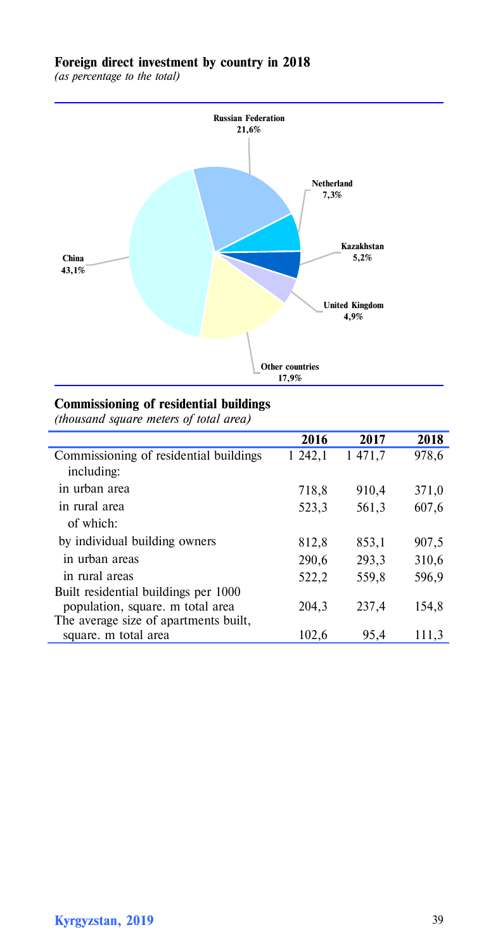### **Foreign direct investment by country in 2018**

*(as percentage to the total)*



# **Commissioning of residential buildings**

*(thousand square meters оf total area)*

|                                        | 2016    | 2017   | 2018  |
|----------------------------------------|---------|--------|-------|
| Commissioning of residential buildings | 1 242,1 | 1471,7 | 978,6 |
| including:                             |         |        |       |
| in urban area                          | 718,8   | 910,4  | 371,0 |
| in rural area                          | 523,3   | 561,3  | 607,6 |
| of which:                              |         |        |       |
| by individual building owners          | 812,8   | 853,1  | 907,5 |
| in urban areas                         | 290,6   | 293,3  | 310,6 |
| in rural areas                         | 522,2   | 559,8  | 596,9 |
| Built residential buildings per 1000   |         |        |       |
| population, square, m total area       | 204,3   | 237.4  | 154,8 |
| The average size of apartments built,  |         |        |       |
| square, m total area                   | 102,6   | 95,4   | 111,3 |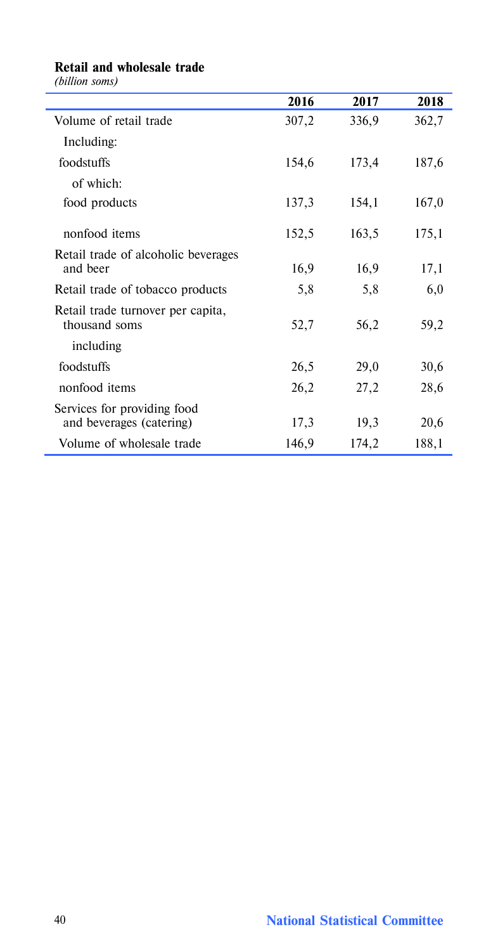# **Retail and wholesale trade** *(billion soms)*

|                                                         | 2016  | 2017  | 2018  |
|---------------------------------------------------------|-------|-------|-------|
| Volume of retail trade                                  | 307,2 | 336,9 | 362,7 |
| Including:                                              |       |       |       |
| foodstuffs                                              | 154,6 | 173,4 | 187,6 |
| of which:                                               |       |       |       |
| food products                                           | 137,3 | 154,1 | 167,0 |
| nonfood items                                           | 152,5 | 163,5 | 175,1 |
| Retail trade of alcoholic beverages<br>and beer         | 16,9  | 16,9  | 17,1  |
| Retail trade of tobacco products                        | 5,8   | 5,8   | 6,0   |
| Retail trade turnover per capita,<br>thousand soms      | 52,7  | 56,2  | 59,2  |
| including                                               |       |       |       |
| foodstuffs                                              | 26,5  | 29,0  | 30,6  |
| nonfood items                                           | 26,2  | 27,2  | 28,6  |
| Services for providing food<br>and beverages (catering) | 17,3  | 19,3  | 20,6  |
| Volume of wholesale trade                               | 146,9 | 174,2 | 188,1 |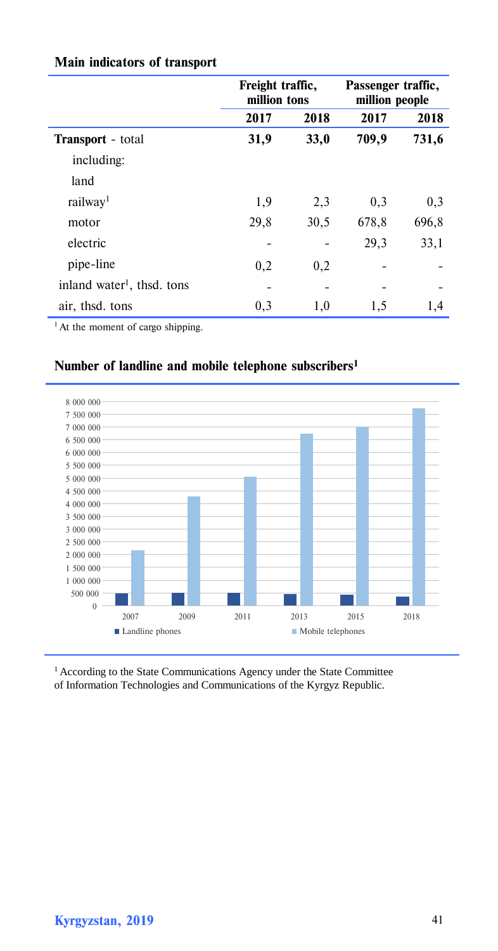|                                        | Freight traffic,<br>million tons |      | Passenger traffic,<br>million people |       |
|----------------------------------------|----------------------------------|------|--------------------------------------|-------|
|                                        | 2017                             | 2018 | 2017                                 | 2018  |
| <b>Transport</b> - total               | 31,9                             | 33,0 | 709,9                                | 731,6 |
| including:                             |                                  |      |                                      |       |
| land                                   |                                  |      |                                      |       |
| railway <sup>1</sup>                   | 1,9                              | 2,3  | 0,3                                  | 0,3   |
| motor                                  | 29,8                             | 30,5 | 678,8                                | 696,8 |
| electric                               |                                  |      | 29,3                                 | 33,1  |
| pipe-line                              | 0,2                              | 0,2  |                                      |       |
| inland water <sup>1</sup> , thsd. tons |                                  |      |                                      |       |
| air, thsd. tons                        | 0,3                              | 1,0  | 1,5                                  | 1,4   |

# **Main indicators of transport**

<sup>1</sup> At the moment of cargo shipping.

# **Number of landline and mobile telephone subscribers1**



<sup>1</sup> According to the State Communications Agency under the State Committee of Information Technologies and Communications of the Kyrgyz Republic.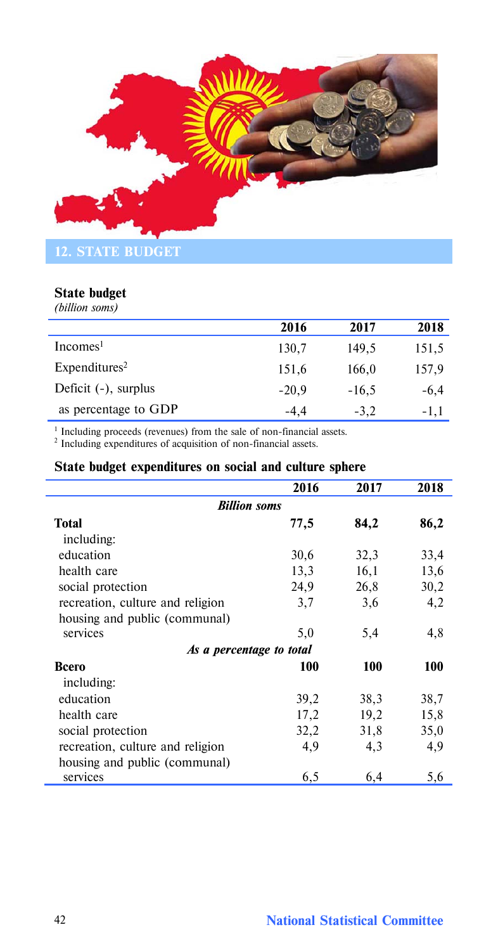

### **State budget**

*(billion soms)*

|                           | 2016    | 2017    | 2018   |
|---------------------------|---------|---------|--------|
| Incomes <sup>1</sup>      | 130,7   | 149,5   | 151,5  |
| Expenditures <sup>2</sup> | 151,6   | 166,0   | 157,9  |
| Deficit $(-)$ , surplus   | $-20.9$ | $-16,5$ | $-6.4$ |
| as percentage to GDP      | $-4,4$  | $-3,2$  | $-1,1$ |

 $1$  Including proceeds (revenues) from the sale of non-financial assets.<br><sup>2</sup> Including expenditures of acquisition of non-financial assets.

### **State budget expenditures on social and culture sphere**

|                                  | 2016 | 2017 | 2018 |
|----------------------------------|------|------|------|
| <b>Billion soms</b>              |      |      |      |
| Total                            | 77,5 | 84,2 | 86,2 |
| including:                       |      |      |      |
| education                        | 30,6 | 32,3 | 33,4 |
| health care                      | 13,3 | 16,1 | 13,6 |
| social protection                | 24,9 | 26,8 | 30,2 |
| recreation, culture and religion | 3,7  | 3,6  | 4,2  |
| housing and public (communal)    |      |      |      |
| services                         | 5,0  | 5,4  | 4,8  |
| As a percentage to total         |      |      |      |
| Всего                            | 100  | 100  | 100  |
| including:                       |      |      |      |
| education                        | 39,2 | 38,3 | 38,7 |
| health care                      | 17,2 | 19,2 | 15,8 |
| social protection                | 32,2 | 31,8 | 35,0 |
| recreation, culture and religion | 4,9  | 4,3  | 4,9  |
| housing and public (communal)    |      |      |      |
| services                         | 6,5  | 6,4  | 5,6  |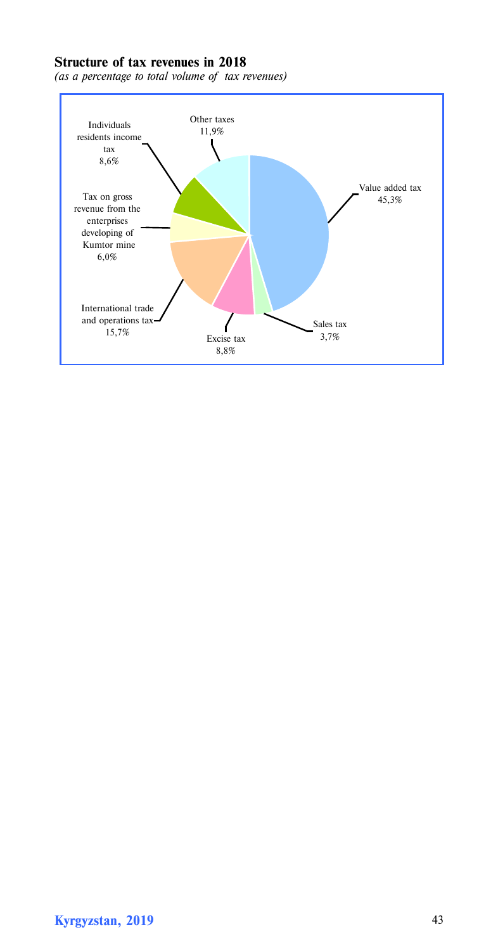## **Structure of tax revenues in 2018**

*(as a percentage to total volume of tax revenues)*

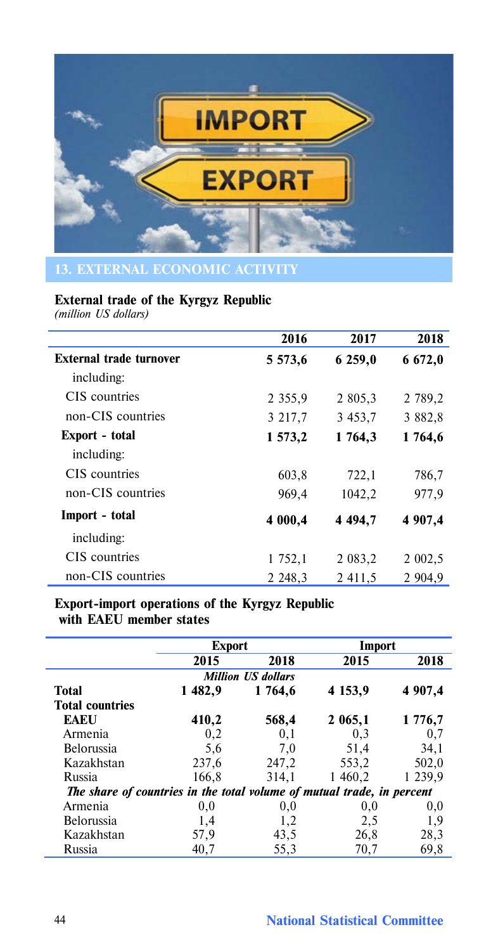

# **External trade of the Kyrgyz Republic**

*(million US dollars)*

|                         | 2016        | 2017        | 2018        |
|-------------------------|-------------|-------------|-------------|
| External trade turnover | 5 5 7 3 , 6 | 6 259,0     | 6 672,0     |
| including:              |             |             |             |
| CIS countries           | 2 3 5 5 9   | 2 805,3     | 2 789,2     |
| non-CIS countries       | 3 217,7     | 3 453,7     | 3 882,8     |
| Export - total          | 1 573,2     | 1764,3      | 1764,6      |
| including:              |             |             |             |
| CIS countries           | 603,8       | 722,1       | 786,7       |
| non-CIS countries       | 969,4       | 1042,2      | 977,9       |
| Import - total          | 4 000,4     | 4 4 9 4.7   | 4 907.4     |
| including:              |             |             |             |
| CIS countries           | 1 752,1     | 2 0 8 3 , 2 | 2 0 0 2 , 5 |
| non-CIS countries       | 2 2 4 8 . 3 | 2 4 1 1 , 5 | 2 9 04.9    |

# **Export-import operations of the Kyrgyz Republic with EAEU member states**

|                                                                        | <b>Export</b> |                           | Import      |         |
|------------------------------------------------------------------------|---------------|---------------------------|-------------|---------|
|                                                                        | 2015          | 2018                      | 2015        | 2018    |
|                                                                        |               | <b>Million US dollars</b> |             |         |
| Total                                                                  | 1482.9        | 1 764.6                   | 4 1 5 3 , 9 | 4 907,4 |
| <b>Total countries</b>                                                 |               |                           |             |         |
| <b>EAEU</b>                                                            | 410,2         | 568,4                     | 2 065,1     | 1 776,7 |
| Armenia                                                                | 0,2           | 0,1                       | 0,3         | 0,7     |
| <b>Belorussia</b>                                                      | 5,6           | 7.0                       | 51,4        | 34,1    |
| Kazakhstan                                                             | 237,6         | 247,2                     | 553,2       | 502,0   |
| Russia                                                                 | 166,8         | 314,1                     | 1 460,2     | 1 239,9 |
| The share of countries in the total volume of mutual trade, in percent |               |                           |             |         |
| Armenia                                                                | 0,0           | 0,0                       | 0,0         | 0,0     |
| Belorussia                                                             | 1,4           | 1,2                       | 2,5         | 1,9     |
| Kazakhstan                                                             | 57,9          | 43,5                      | 26,8        | 28,3    |
| Russia                                                                 | 40,7          | 55,3                      | 70,7        | 69,8    |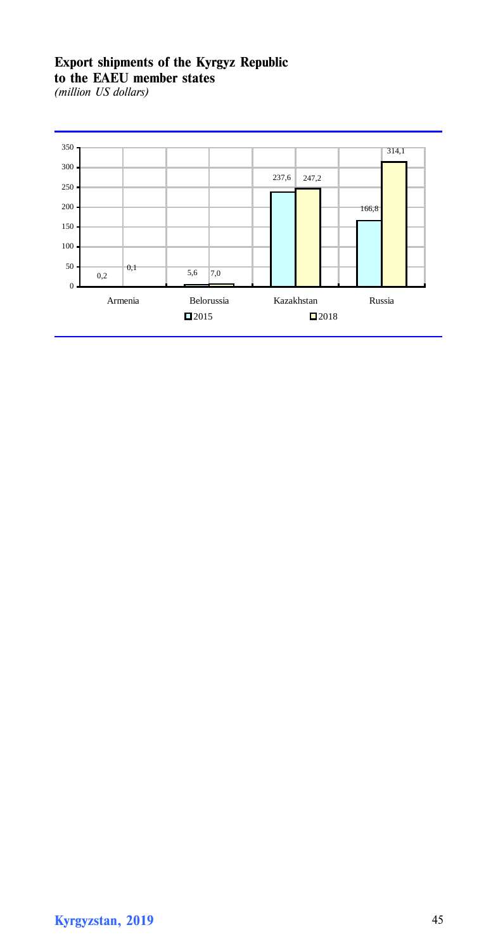# **Export shipments of the Kyrgyz Republic to the EAEU member states**

*(million US dollars)*